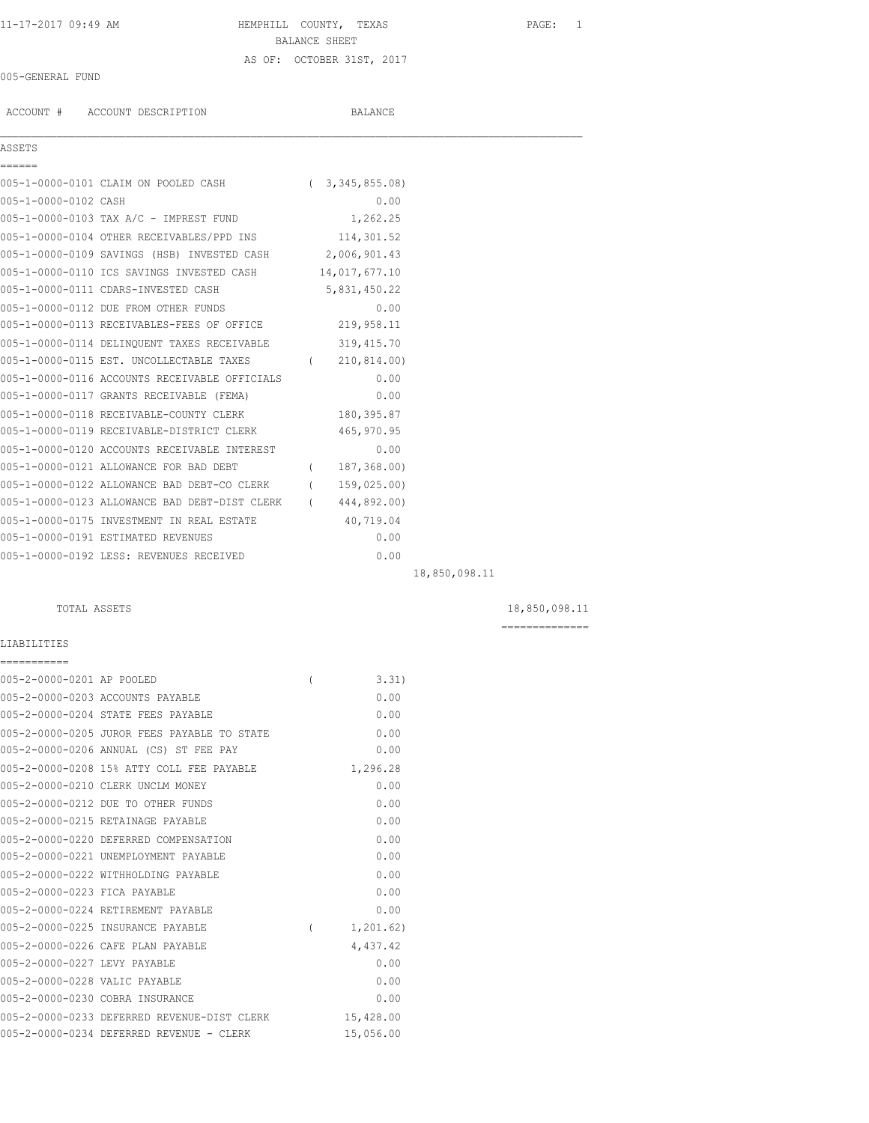## 11-17-2017 09:49 AM HEMPHILL COUNTY, TEXAS PAGE: 1 BALANCE SHEET AS OF: OCTOBER 31ST, 2017

 $\mathcal{L}_\mathcal{L} = \mathcal{L}_\mathcal{L}$ 

## 005-GENERAL FUND

ACCOUNT # ACCOUNT DESCRIPTION BALANCE

# AS:

| ASSETS               |                                                          |          |                |  |
|----------------------|----------------------------------------------------------|----------|----------------|--|
| ------               |                                                          |          |                |  |
|                      | 005-1-0000-0101 CLAIM ON POOLED CASH                     | $\left($ | 3,345,855.08   |  |
| 005-1-0000-0102 CASH |                                                          |          | 0.00           |  |
|                      | 005-1-0000-0103 TAX A/C - IMPREST FUND                   |          | 1,262.25       |  |
|                      | 005-1-0000-0104 OTHER RECEIVABLES/PPD INS                |          | 114,301.52     |  |
|                      | 005-1-0000-0109 SAVINGS (HSB) INVESTED CASH 2,006,901.43 |          |                |  |
|                      | 005-1-0000-0110 ICS SAVINGS INVESTED CASH                |          | 14,017,677.10  |  |
|                      | 005-1-0000-0111 CDARS-INVESTED CASH                      |          | 5,831,450.22   |  |
|                      | 005-1-0000-0112 DUE FROM OTHER FUNDS                     |          | 0.00           |  |
|                      | 005-1-0000-0113 RECEIVABLES-FEES OF OFFICE               |          | 219,958.11     |  |
|                      | 005-1-0000-0114 DELINQUENT TAXES RECEIVABLE              |          | 319,415.70     |  |
|                      | 005-1-0000-0115 EST. UNCOLLECTABLE TAXES                 |          | (210, 814.00)  |  |
|                      | 005-1-0000-0116 ACCOUNTS RECEIVABLE OFFICIALS            |          | 0.00           |  |
|                      | 005-1-0000-0117 GRANTS RECEIVABLE (FEMA)                 |          | 0.00           |  |
|                      | 005-1-0000-0118 RECEIVABLE-COUNTY CLERK                  |          | 180,395.87     |  |
|                      | 005-1-0000-0119 RECEIVABLE-DISTRICT CLERK                |          | 465, 970.95    |  |
|                      | 005-1-0000-0120 ACCOUNTS RECEIVABLE INTEREST             |          | 0.00           |  |
|                      | 005-1-0000-0121 ALLOWANCE FOR BAD DEBT                   |          | (187, 368, 00) |  |
|                      | 005-1-0000-0122 ALLOWANCE BAD DEBT-CO CLERK              | $\left($ | 159,025.00)    |  |
|                      | 005-1-0000-0123 ALLOWANCE BAD DEBT-DIST CLERK            | $\left($ | 444,892.00)    |  |
|                      | 005-1-0000-0175 INVESTMENT IN REAL ESTATE                |          | 40,719.04      |  |
|                      | 005-1-0000-0191 ESTIMATED REVENUES                       |          | 0.00           |  |

LIABILITIES

| ===========                   |                                             |          |             |
|-------------------------------|---------------------------------------------|----------|-------------|
| 005-2-0000-0201 AP POOLED     |                                             | $\left($ | 3.31        |
|                               | 005-2-0000-0203 ACCOUNTS PAYABLE            |          | 0.00        |
|                               | 005-2-0000-0204 STATE FEES PAYABLE          |          | 0.00        |
|                               | 005-2-0000-0205 JUROR FEES PAYABLE TO STATE |          | 0.00        |
|                               | 005-2-0000-0206 ANNUAL (CS) ST FEE PAY      |          | 0.00        |
|                               | 005-2-0000-0208 15% ATTY COLL FEE PAYABLE   |          | 1,296.28    |
|                               | 005-2-0000-0210 CLERK UNCLM MONEY           |          | 0.00        |
|                               | 005-2-0000-0212 DUE TO OTHER FUNDS          |          | 0.00        |
|                               | 005-2-0000-0215 RETAINAGE PAYABLE           |          | 0.00        |
|                               | 005-2-0000-0220 DEFERRED COMPENSATION       |          | 0.00        |
|                               | 005-2-0000-0221 UNEMPLOYMENT PAYABLE        |          | 0.00        |
|                               | 005-2-0000-0222 WITHHOLDING PAYABLE         |          | 0.00        |
| 005-2-0000-0223 FICA PAYABLE  |                                             |          | 0.00        |
|                               | 005-2-0000-0224 RETIREMENT PAYABLE          |          | 0.00        |
|                               | 005-2-0000-0225 INSURANCE PAYABLE           | $\left($ | 1, 201, 62) |
|                               | 005-2-0000-0226 CAFE PLAN PAYABLE           |          | 4,437.42    |
| 005-2-0000-0227 LEVY PAYABLE  |                                             |          | 0.00        |
| 005-2-0000-0228 VALIC PAYABLE |                                             |          | 0.00        |
|                               | 005-2-0000-0230 COBRA INSURANCE             |          | 0.00        |
|                               | 005-2-0000-0233 DEFERRED REVENUE-DIST CLERK |          | 15,428.00   |
|                               | 005-2-0000-0234 DEFERRED REVENUE - CLERK    |          | 15,056.00   |

005-1-0000-0192 LESS: REVENUES RECEIVED 0.00

18,850,098.11

TOTAL ASSETS 18,850,098.11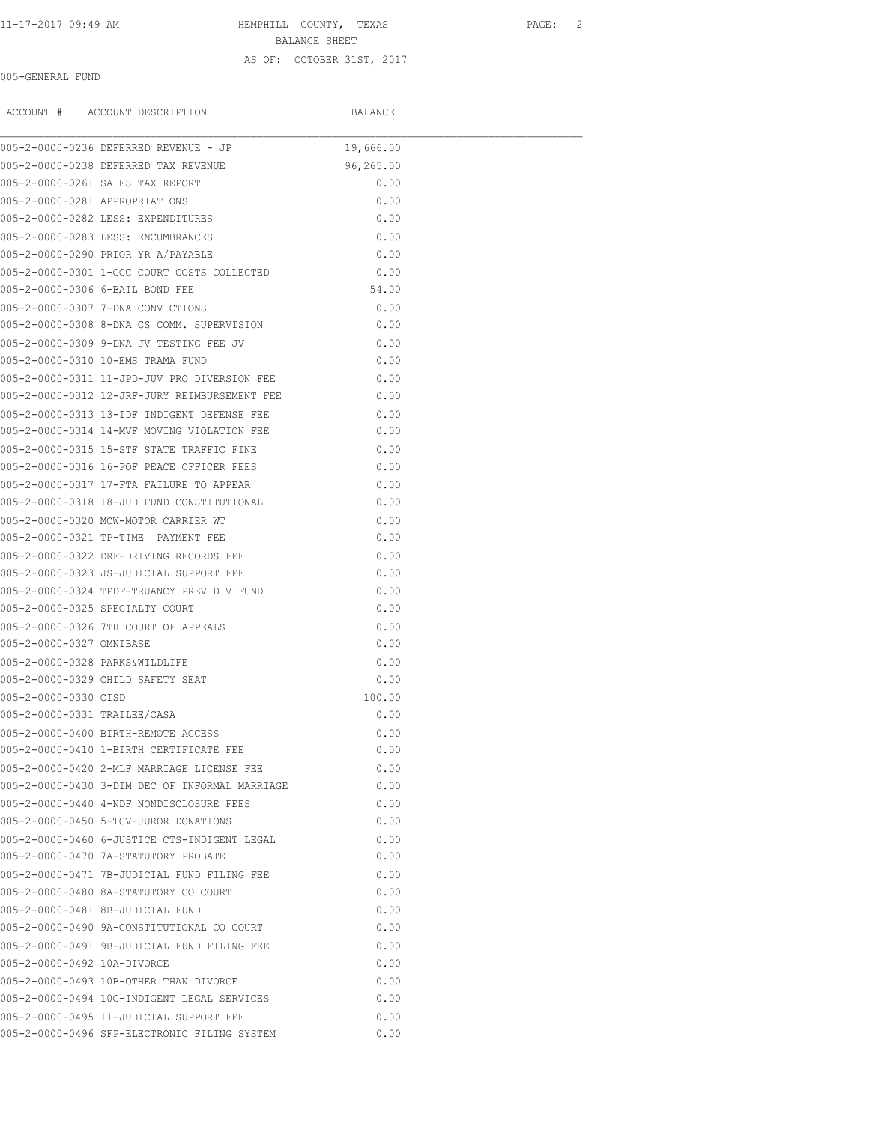11-17-2017 09:49 AM HEMPHILL COUNTY, TEXAS PAGE: 2 BALANCE SHEET

### AS OF: OCTOBER 31ST, 2017

005-GENERAL FUND

|                                | ACCOUNT # ACCOUNT DESCRIPTION                  | BALANCE   |  |
|--------------------------------|------------------------------------------------|-----------|--|
|                                | 005-2-0000-0236 DEFERRED REVENUE - JP          | 19,666.00 |  |
|                                | 005-2-0000-0238 DEFERRED TAX REVENUE           | 96,265.00 |  |
|                                | 005-2-0000-0261 SALES TAX REPORT               | 0.00      |  |
| 005-2-0000-0281 APPROPRIATIONS |                                                | 0.00      |  |
|                                | 005-2-0000-0282 LESS: EXPENDITURES             | 0.00      |  |
|                                | 005-2-0000-0283 LESS: ENCUMBRANCES             | 0.00      |  |
|                                | 005-2-0000-0290 PRIOR YR A/PAYABLE             | 0.00      |  |
|                                | 005-2-0000-0301 1-CCC COURT COSTS COLLECTED    | 0.00      |  |
|                                | 005-2-0000-0306 6-BAIL BOND FEE                | 54.00     |  |
|                                | 005-2-0000-0307 7-DNA CONVICTIONS              | 0.00      |  |
|                                | 005-2-0000-0308 8-DNA CS COMM. SUPERVISION     | 0.00      |  |
|                                | 005-2-0000-0309 9-DNA JV TESTING FEE JV        | 0.00      |  |
|                                | 005-2-0000-0310 10-EMS TRAMA FUND              | 0.00      |  |
|                                | 005-2-0000-0311 11-JPD-JUV PRO DIVERSION FEE   | 0.00      |  |
|                                | 005-2-0000-0312 12-JRF-JURY REIMBURSEMENT FEE  | 0.00      |  |
|                                | 005-2-0000-0313 13-IDF INDIGENT DEFENSE FEE    | 0.00      |  |
|                                | 005-2-0000-0314 14-MVF MOVING VIOLATION FEE    | 0.00      |  |
|                                | 005-2-0000-0315 15-STF STATE TRAFFIC FINE      | 0.00      |  |
|                                | 005-2-0000-0316 16-POF PEACE OFFICER FEES      | 0.00      |  |
|                                | 005-2-0000-0317 17-FTA FAILURE TO APPEAR       | 0.00      |  |
|                                | 005-2-0000-0318 18-JUD FUND CONSTITUTIONAL     | 0.00      |  |
|                                | 005-2-0000-0320 MCW-MOTOR CARRIER WT           | 0.00      |  |
|                                | 005-2-0000-0321 TP-TIME PAYMENT FEE            | 0.00      |  |
|                                | 005-2-0000-0322 DRF-DRIVING RECORDS FEE        | 0.00      |  |
|                                | 005-2-0000-0323 JS-JUDICIAL SUPPORT FEE        | 0.00      |  |
|                                | 005-2-0000-0324 TPDF-TRUANCY PREV DIV FUND     | 0.00      |  |
|                                | 005-2-0000-0325 SPECIALTY COURT                | 0.00      |  |
|                                | 005-2-0000-0326 7TH COURT OF APPEALS           | 0.00      |  |
| 005-2-0000-0327 OMNIBASE       |                                                | 0.00      |  |
|                                | 005-2-0000-0328 PARKS&WILDLIFE                 | 0.00      |  |
|                                | 005-2-0000-0329 CHILD SAFETY SEAT              | 0.00      |  |
| 005-2-0000-0330 CISD           |                                                | 100.00    |  |
| 005-2-0000-0331 TRAILEE/CASA   |                                                | 0.00      |  |
|                                | 005-2-0000-0400 BIRTH-REMOTE ACCESS            | 0.00      |  |
|                                | 005-2-0000-0410 1-BIRTH CERTIFICATE FEE        | 0.00      |  |
|                                | 005-2-0000-0420 2-MLF MARRIAGE LICENSE FEE     | 0.00      |  |
|                                | 005-2-0000-0430 3-DIM DEC OF INFORMAL MARRIAGE | 0.00      |  |
|                                | 005-2-0000-0440 4-NDF NONDISCLOSURE FEES       | 0.00      |  |
|                                | 005-2-0000-0450 5-TCV-JUROR DONATIONS          | 0.00      |  |
|                                | 005-2-0000-0460 6-JUSTICE CTS-INDIGENT LEGAL   | 0.00      |  |
|                                | 005-2-0000-0470 7A-STATUTORY PROBATE           | 0.00      |  |
|                                | 005-2-0000-0471 7B-JUDICIAL FUND FILING FEE    | 0.00      |  |
|                                | 005-2-0000-0480 8A-STATUTORY CO COURT          | 0.00      |  |
|                                | 005-2-0000-0481 8B-JUDICIAL FUND               | 0.00      |  |
|                                | 005-2-0000-0490 9A-CONSTITUTIONAL CO COURT     | 0.00      |  |
|                                | 005-2-0000-0491 9B-JUDICIAL FUND FILING FEE    | 0.00      |  |
| 005-2-0000-0492 10A-DIVORCE    |                                                | 0.00      |  |
|                                |                                                |           |  |
|                                | 005-2-0000-0493 10B-OTHER THAN DIVORCE         | 0.00      |  |
|                                | 005-2-0000-0494 10C-INDIGENT LEGAL SERVICES    | 0.00      |  |
|                                | 005-2-0000-0495 11-JUDICIAL SUPPORT FEE        | 0.00      |  |
|                                | 005-2-0000-0496 SFP-ELECTRONIC FILING SYSTEM   | 0.00      |  |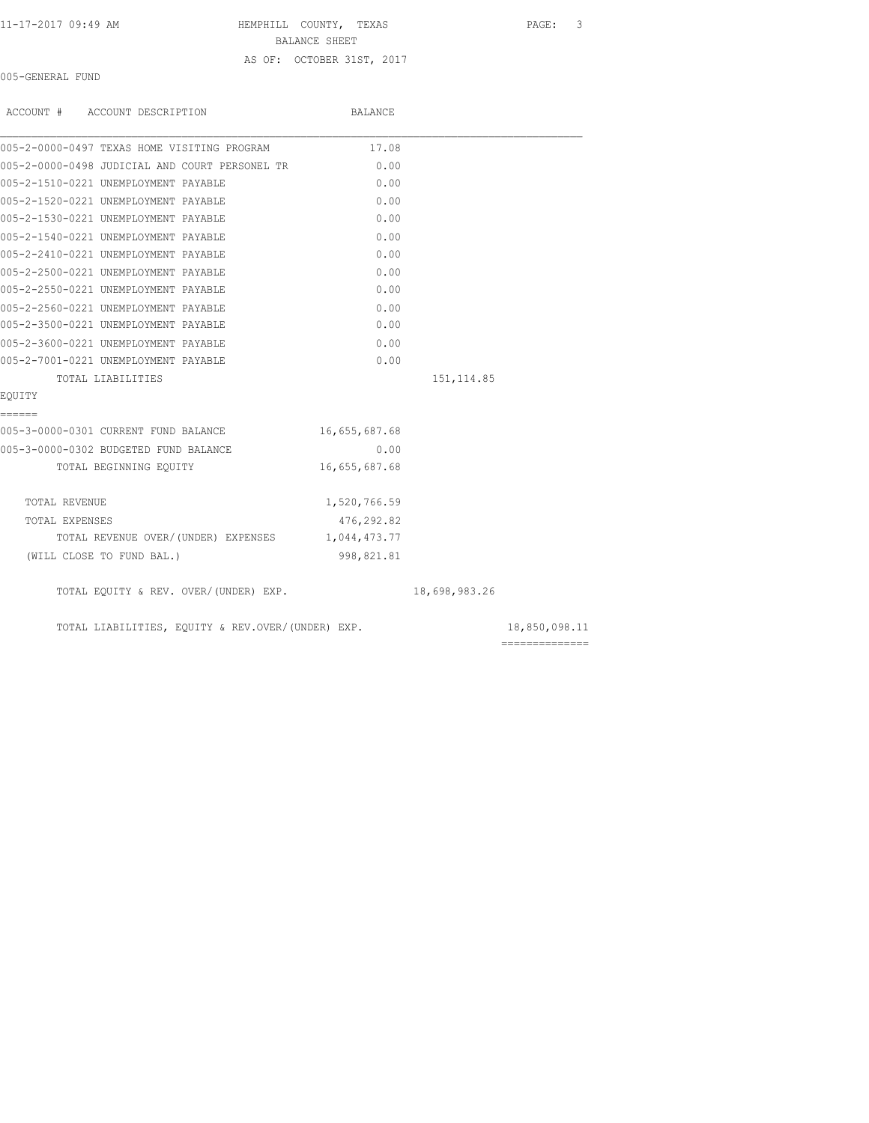11-17-2017 09:49 AM HEMPHILL COUNTY, TEXAS PAGE: 3 BALANCE SHEET

AS OF: OCTOBER 31ST, 2017

005-GENERAL FUND

| ACCOUNT # ACCOUNT DESCRIPTION                     | BALANCE       |               |               |
|---------------------------------------------------|---------------|---------------|---------------|
| 005-2-0000-0497 TEXAS HOME VISITING PROGRAM       | 17.08         |               |               |
| 005-2-0000-0498 JUDICIAL AND COURT PERSONEL TR    | 0.00          |               |               |
| 005-2-1510-0221 UNEMPLOYMENT PAYABLE              | 0.00          |               |               |
| 005-2-1520-0221 UNEMPLOYMENT PAYABLE              | 0.00          |               |               |
| 005-2-1530-0221 UNEMPLOYMENT PAYABLE              | 0.00          |               |               |
| 005-2-1540-0221 UNEMPLOYMENT PAYABLE              | 0.00          |               |               |
| 005-2-2410-0221 UNEMPLOYMENT PAYABLE              | 0.00          |               |               |
| 005-2-2500-0221 UNEMPLOYMENT PAYABLE              | 0.00          |               |               |
| 005-2-2550-0221 UNEMPLOYMENT PAYABLE              | 0.00          |               |               |
| 005-2-2560-0221 UNEMPLOYMENT PAYABLE              | 0.00          |               |               |
| 005-2-3500-0221 UNEMPLOYMENT PAYABLE              | 0.00          |               |               |
| 005-2-3600-0221 UNEMPLOYMENT PAYABLE              | 0.00          |               |               |
| 005-2-7001-0221 UNEMPLOYMENT PAYABLE              | 0.00          |               |               |
| TOTAL LIABILITIES                                 |               | 151, 114.85   |               |
| EQUITY                                            |               |               |               |
| ======                                            |               |               |               |
| 005-3-0000-0301 CURRENT FUND BALANCE              | 16,655,687.68 |               |               |
| 005-3-0000-0302 BUDGETED FUND BALANCE             | 0.00          |               |               |
| TOTAL BEGINNING EQUITY                            | 16,655,687.68 |               |               |
| TOTAL REVENUE                                     | 1,520,766.59  |               |               |
| TOTAL EXPENSES                                    | 476,292.82    |               |               |
| TOTAL REVENUE OVER/(UNDER) EXPENSES 1,044,473.77  |               |               |               |
| (WILL CLOSE TO FUND BAL.)                         | 998,821.81    |               |               |
| TOTAL EQUITY & REV. OVER/(UNDER) EXP.             |               | 18,698,983.26 |               |
| TOTAL LIABILITIES, EQUITY & REV.OVER/(UNDER) EXP. |               |               | 18,850,098.11 |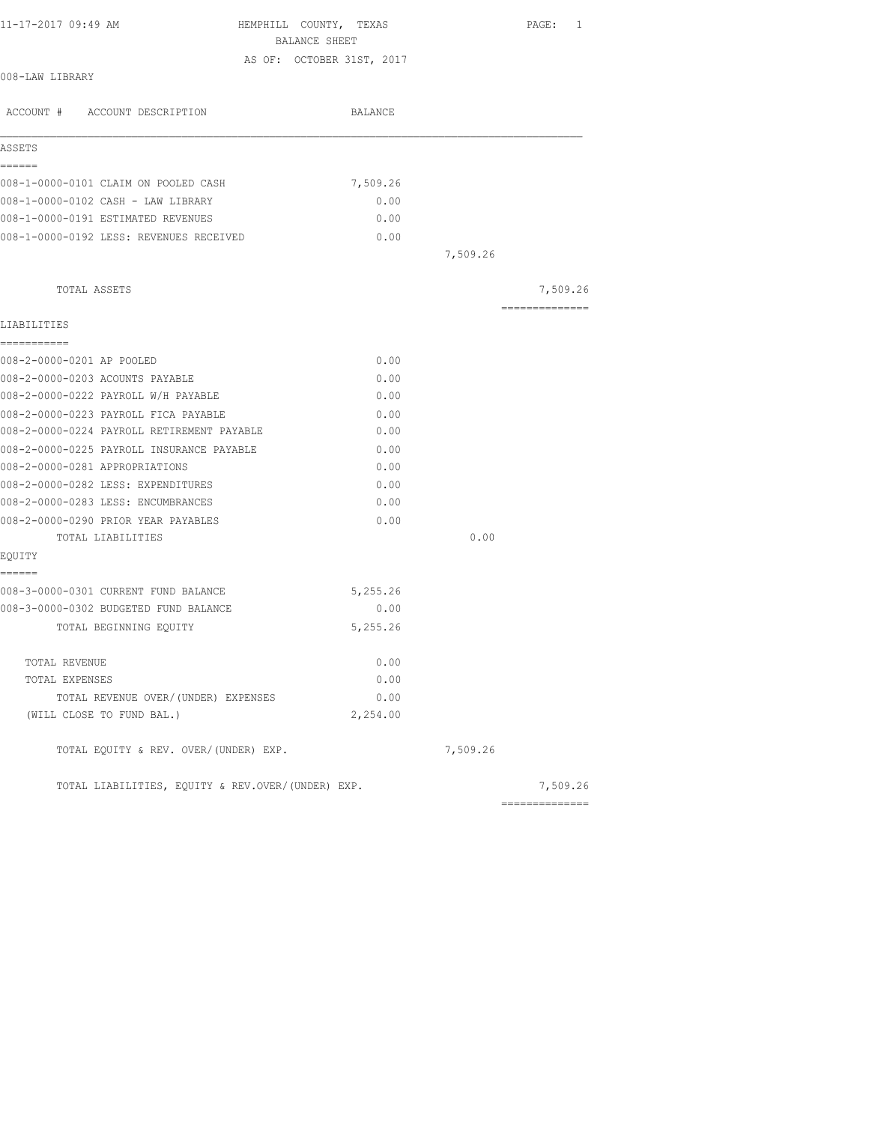| 11-17-2017 09:49 AM                               | HEMPHILL COUNTY, TEXAS    |          | PAGE: 1        |
|---------------------------------------------------|---------------------------|----------|----------------|
|                                                   | BALANCE SHEET             |          |                |
| 008-LAW LIBRARY                                   | AS OF: OCTOBER 31ST, 2017 |          |                |
| ACCOUNT # ACCOUNT DESCRIPTION                     | BALANCE                   |          |                |
| ASSETS                                            |                           |          |                |
| ======                                            |                           |          |                |
| 008-1-0000-0101 CLAIM ON POOLED CASH              | 7,509.26                  |          |                |
| 008-1-0000-0102 CASH - LAW LIBRARY                | 0.00                      |          |                |
| 008-1-0000-0191 ESTIMATED REVENUES                | 0.00                      |          |                |
| 008-1-0000-0192 LESS: REVENUES RECEIVED           | 0.00                      |          |                |
|                                                   |                           | 7,509.26 |                |
|                                                   |                           |          |                |
| TOTAL ASSETS                                      |                           |          | 7,509.26       |
| LIABILITIES                                       |                           |          | ============== |
| -----------                                       |                           |          |                |
| 008-2-0000-0201 AP POOLED                         | 0.00                      |          |                |
| 008-2-0000-0203 ACOUNTS PAYABLE                   | 0.00                      |          |                |
| 008-2-0000-0222 PAYROLL W/H PAYABLE               | 0.00                      |          |                |
| 008-2-0000-0223 PAYROLL FICA PAYABLE              | 0.00                      |          |                |
| 008-2-0000-0224 PAYROLL RETIREMENT PAYABLE        | 0.00                      |          |                |
| 008-2-0000-0225 PAYROLL INSURANCE PAYABLE         | 0.00                      |          |                |
| 008-2-0000-0281 APPROPRIATIONS                    | 0.00                      |          |                |
| 008-2-0000-0282 LESS: EXPENDITURES                | 0.00                      |          |                |
| 008-2-0000-0283 LESS: ENCUMBRANCES                | 0.00                      |          |                |
| 008-2-0000-0290 PRIOR YEAR PAYABLES               | 0.00                      |          |                |
| TOTAL LIABILITIES                                 |                           | 0.00     |                |
| EQUITY<br>------                                  |                           |          |                |
| 008-3-0000-0301 CURRENT FUND BALANCE              | 5,255.26                  |          |                |
| 008-3-0000-0302 BUDGETED FUND BALANCE             | 0.00                      |          |                |
| TOTAL BEGINNING EOUITY                            | 5,255.26                  |          |                |
| TOTAL REVENUE                                     | 0.00                      |          |                |
| TOTAL EXPENSES                                    | 0.00                      |          |                |
| TOTAL REVENUE OVER/(UNDER) EXPENSES               | 0.00                      |          |                |
| (WILL CLOSE TO FUND BAL.)                         | 2,254.00                  |          |                |
| TOTAL EQUITY & REV. OVER/(UNDER) EXP.             |                           | 7,509.26 |                |
| TOTAL LIABILITIES, EQUITY & REV.OVER/(UNDER) EXP. |                           |          | 7,509.26       |
|                                                   |                           |          | ============== |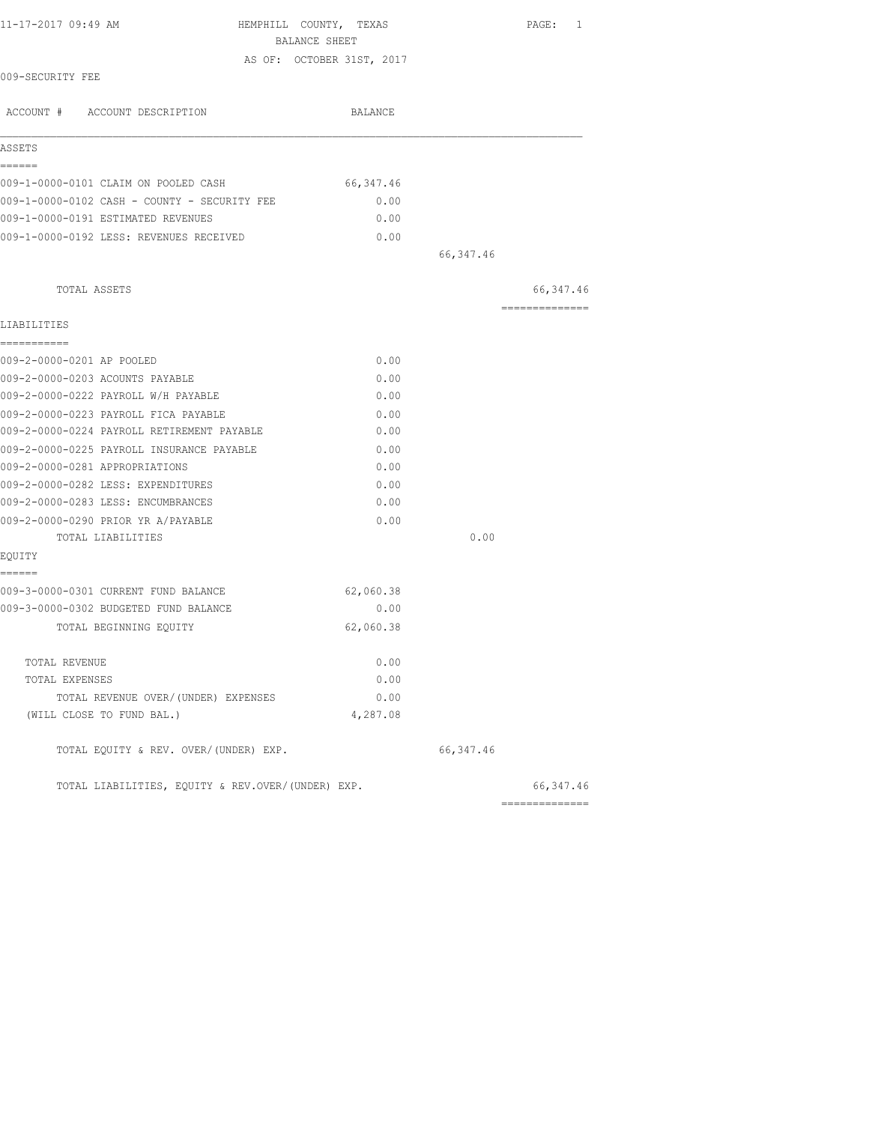| 11-17-2017 09:49 AM<br>HEMPHILL COUNTY, TEXAS     | BALANCE SHEET             |            | PAGE: 1        |
|---------------------------------------------------|---------------------------|------------|----------------|
|                                                   | AS OF: OCTOBER 31ST, 2017 |            |                |
| 009-SECURITY FEE                                  |                           |            |                |
| ACCOUNT # ACCOUNT DESCRIPTION                     | BALANCE                   |            |                |
| ASSETS                                            |                           |            |                |
| ======                                            |                           |            |                |
| 009-1-0000-0101 CLAIM ON POOLED CASH              | 66, 347.46                |            |                |
| 009-1-0000-0102 CASH - COUNTY - SECURITY FEE      | 0.00                      |            |                |
| 009-1-0000-0191 ESTIMATED REVENUES                | 0.00                      |            |                |
| 009-1-0000-0192 LESS: REVENUES RECEIVED           | 0.00                      |            |                |
|                                                   |                           | 66, 347.46 |                |
| TOTAL ASSETS                                      |                           |            | 66, 347.46     |
| LIABILITIES                                       |                           |            | -------------- |
| ===========<br>009-2-0000-0201 AP POOLED          | 0.00                      |            |                |
| 009-2-0000-0203 ACOUNTS PAYABLE                   | 0.00                      |            |                |
| 009-2-0000-0222 PAYROLL W/H PAYABLE               | 0.00                      |            |                |
| 009-2-0000-0223 PAYROLL FICA PAYABLE              | 0.00                      |            |                |
| 009-2-0000-0224 PAYROLL RETIREMENT PAYABLE        | 0.00                      |            |                |
| 009-2-0000-0225 PAYROLL INSURANCE PAYABLE         | 0.00                      |            |                |
| 009-2-0000-0281 APPROPRIATIONS                    | 0.00                      |            |                |
| 009-2-0000-0282 LESS: EXPENDITURES                | 0.00                      |            |                |
| 009-2-0000-0283 LESS: ENCUMBRANCES                | 0.00                      |            |                |
| 009-2-0000-0290 PRIOR YR A/PAYABLE                | 0.00                      |            |                |
| TOTAL LIABILITIES                                 |                           | 0.00       |                |
| EQUITY                                            |                           |            |                |
| ======<br>009-3-0000-0301 CURRENT FUND BALANCE    | 62,060.38                 |            |                |
| 009-3-0000-0302 BUDGETED FUND BALANCE             | 0.00                      |            |                |
| TOTAL BEGINNING EQUITY                            | 62,060.38                 |            |                |
| TOTAL REVENUE                                     | 0.00                      |            |                |
| TOTAL EXPENSES                                    | 0.00                      |            |                |
| TOTAL REVENUE OVER/(UNDER) EXPENSES               | 0.00                      |            |                |
| (WILL CLOSE TO FUND BAL.)                         | 4,287.08                  |            |                |
| TOTAL EQUITY & REV. OVER/(UNDER) EXP.             |                           | 66,347.46  |                |
| TOTAL LIABILITIES, EQUITY & REV.OVER/(UNDER) EXP. |                           |            | 66,347.46      |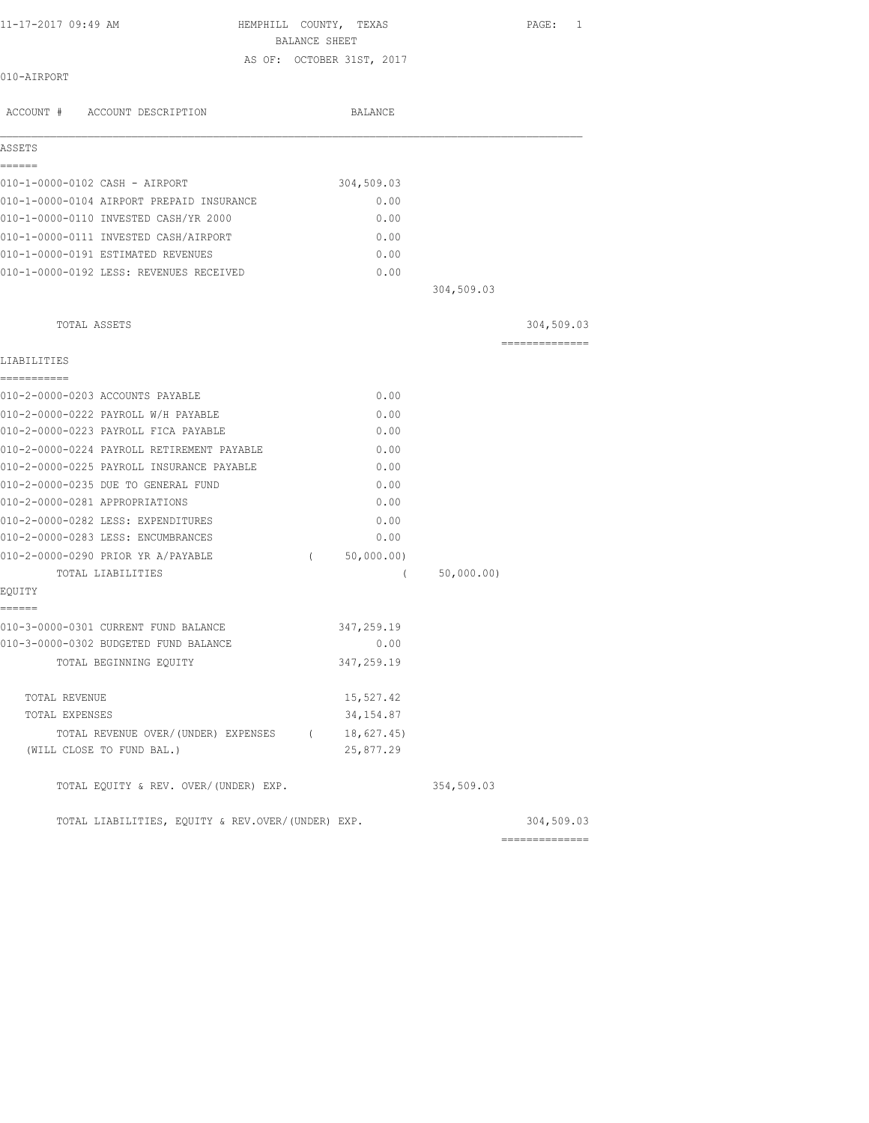HEMPHILL COUNTY, TEXAS PAGE: 1 BALANCE SHEET AS OF: OCTOBER 31ST, 2017

010-AIRPORT

| ACCOUNT # ACCOUNT DESCRIPTION                     |            | <b>BALANCE</b> |            |            |
|---------------------------------------------------|------------|----------------|------------|------------|
| ASSETS                                            |            |                |            |            |
| ------                                            |            |                |            |            |
| 010-1-0000-0102 CASH - AIRPORT                    |            | 304,509.03     |            |            |
| 010-1-0000-0104 AIRPORT PREPAID INSURANCE         |            | 0.00           |            |            |
| 010-1-0000-0110 INVESTED CASH/YR 2000             |            | 0.00           |            |            |
| 010-1-0000-0111 INVESTED CASH/AIRPORT             |            | 0.00           |            |            |
| 010-1-0000-0191 ESTIMATED REVENUES                |            | 0.00           |            |            |
| 010-1-0000-0192 LESS: REVENUES RECEIVED           |            | 0.00           | 304,509.03 |            |
|                                                   |            |                |            |            |
| TOTAL ASSETS                                      |            |                |            | 304,509.03 |
| LIABILITIES                                       |            |                |            |            |
| ------------                                      |            |                |            |            |
| 010-2-0000-0203 ACCOUNTS PAYABLE                  |            | 0.00           |            |            |
| 010-2-0000-0222 PAYROLL W/H PAYABLE               |            | 0.00           |            |            |
| 010-2-0000-0223 PAYROLL FICA PAYABLE              |            | 0.00           |            |            |
| 010-2-0000-0224 PAYROLL RETIREMENT PAYABLE        |            | 0.00           |            |            |
| 010-2-0000-0225 PAYROLL INSURANCE PAYABLE         |            | 0.00           |            |            |
| 010-2-0000-0235 DUE TO GENERAL FUND               |            | 0.00           |            |            |
| 010-2-0000-0281 APPROPRIATIONS                    |            | 0.00           |            |            |
| 010-2-0000-0282 LESS: EXPENDITURES                |            | 0.00           |            |            |
| 010-2-0000-0283 LESS: ENCUMBRANCES                |            | 0.00           |            |            |
| 010-2-0000-0290 PRIOR YR A/PAYABLE                | $\sqrt{2}$ | 50,000.00)     |            |            |
| TOTAL LIABILITIES                                 |            | $\left($       | 50,000.00) |            |
| EQUITY                                            |            |                |            |            |
| ======<br>010-3-0000-0301 CURRENT FUND BALANCE    |            | 347,259.19     |            |            |
| 010-3-0000-0302 BUDGETED FUND BALANCE             |            | 0.00           |            |            |
| TOTAL BEGINNING EQUITY                            |            | 347,259.19     |            |            |
| TOTAL REVENUE                                     |            | 15,527.42      |            |            |
| TOTAL EXPENSES                                    |            | 34, 154.87     |            |            |
| TOTAL REVENUE OVER/(UNDER) EXPENSES (18,627.45)   |            |                |            |            |
| (WILL CLOSE TO FUND BAL.)                         |            | 25,877.29      |            |            |
| TOTAL EQUITY & REV. OVER/(UNDER) EXP.             |            |                | 354,509.03 |            |
| TOTAL LIABILITIES, EQUITY & REV.OVER/(UNDER) EXP. |            |                |            | 304,509.03 |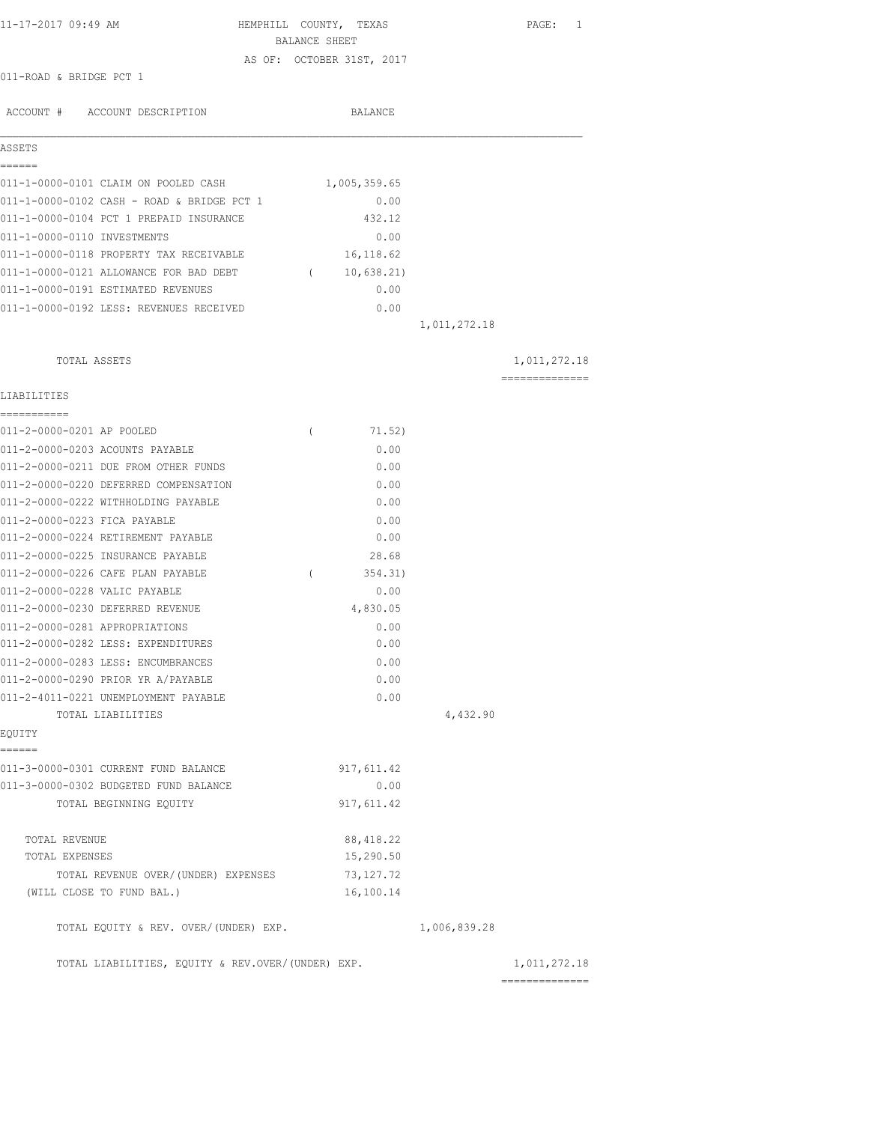| 11-17-2017 09:49 AM                               | HEMPHILL COUNTY, TEXAS    |              | PAGE: 1        |
|---------------------------------------------------|---------------------------|--------------|----------------|
|                                                   | BALANCE SHEET             |              |                |
| 011-ROAD & BRIDGE PCT 1                           | AS OF: OCTOBER 31ST, 2017 |              |                |
|                                                   |                           |              |                |
| ACCOUNT # ACCOUNT DESCRIPTION                     | BALANCE                   |              |                |
| ASSETS                                            |                           |              |                |
| ======                                            |                           |              |                |
| 011-1-0000-0101 CLAIM ON POOLED CASH              | 1,005,359.65              |              |                |
| 011-1-0000-0102 CASH - ROAD & BRIDGE PCT 1        | 0.00                      |              |                |
| 011-1-0000-0104 PCT 1 PREPAID INSURANCE           | 432.12                    |              |                |
| 011-1-0000-0110 INVESTMENTS                       | 0.00                      |              |                |
| 011-1-0000-0118 PROPERTY TAX RECEIVABLE           | 16, 118.62                |              |                |
| 011-1-0000-0121 ALLOWANCE FOR BAD DEBT            | (10, 638.21)              |              |                |
| 011-1-0000-0191 ESTIMATED REVENUES                | 0.00                      |              |                |
| 011-1-0000-0192 LESS: REVENUES RECEIVED           | 0.00                      |              |                |
|                                                   |                           | 1,011,272.18 |                |
| TOTAL ASSETS                                      |                           |              | 1,011,272.18   |
|                                                   |                           |              | ============== |
| LIABILITIES                                       |                           |              |                |
| 011-2-0000-0201 AP POOLED                         | $\left($<br>71.52)        |              |                |
| 011-2-0000-0203 ACOUNTS PAYABLE                   | 0.00                      |              |                |
| 011-2-0000-0211 DUE FROM OTHER FUNDS              | 0.00                      |              |                |
| 011-2-0000-0220 DEFERRED COMPENSATION             | 0.00                      |              |                |
| 011-2-0000-0222 WITHHOLDING PAYABLE               | 0.00                      |              |                |
| 011-2-0000-0223 FICA PAYABLE                      | 0.00                      |              |                |
| 011-2-0000-0224 RETIREMENT PAYABLE                | 0.00                      |              |                |
| 011-2-0000-0225 INSURANCE PAYABLE                 | 28.68                     |              |                |
| 011-2-0000-0226 CAFE PLAN PAYABLE                 | 354.31)<br>$\left($       |              |                |
| 011-2-0000-0228 VALIC PAYABLE                     | 0.00                      |              |                |
| 011-2-0000-0230 DEFERRED REVENUE                  | 4,830.05                  |              |                |
| 011-2-0000-0281 APPROPRIATIONS                    | 0.00                      |              |                |
| 011-2-0000-0282 LESS: EXPENDITURES                | 0.00                      |              |                |
| 011-2-0000-0283 LESS: ENCUMBRANCES                | 0.00                      |              |                |
| 011-2-0000-0290 PRIOR YR A/PAYABLE                | 0.00                      |              |                |
| 011-2-4011-0221 UNEMPLOYMENT PAYABLE              | 0.00                      |              |                |
| TOTAL LIABILITIES                                 |                           | 4,432.90     |                |
| EQUITY                                            |                           |              |                |
| ------                                            |                           |              |                |
| 011-3-0000-0301 CURRENT FUND BALANCE              | 917, 611.42               |              |                |
| 011-3-0000-0302 BUDGETED FUND BALANCE             | 0.00                      |              |                |
| TOTAL BEGINNING EQUITY                            | 917, 611.42               |              |                |
| TOTAL REVENUE                                     | 88, 418.22                |              |                |
| TOTAL EXPENSES                                    | 15,290.50                 |              |                |
| TOTAL REVENUE OVER/(UNDER) EXPENSES               | 73, 127. 72               |              |                |
| (WILL CLOSE TO FUND BAL.)                         | 16,100.14                 |              |                |
| TOTAL EQUITY & REV. OVER/(UNDER) EXP.             |                           | 1,006,839.28 |                |
| TOTAL LIABILITIES, EQUITY & REV.OVER/(UNDER) EXP. |                           |              | 1,011,272.18   |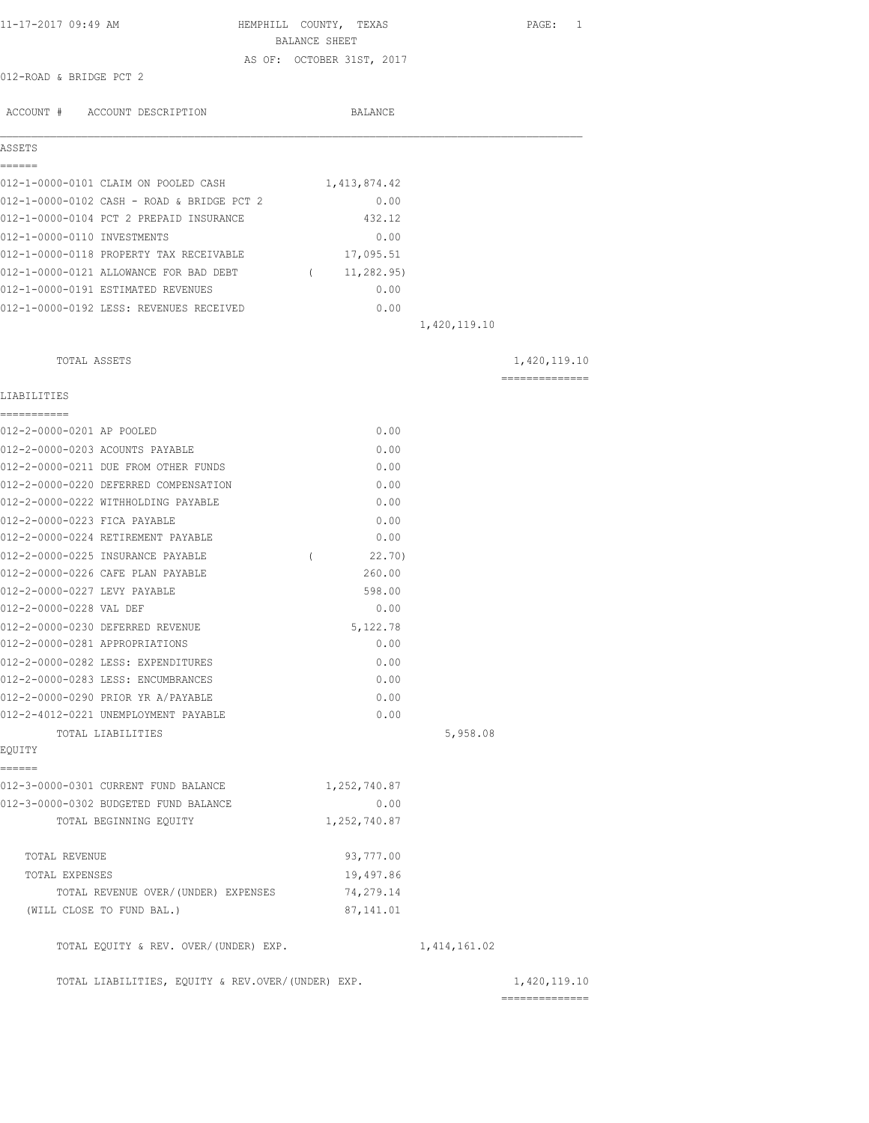| 11-17-2017 09:49 AM                               | HEMPHILL COUNTY, TEXAS<br>BALANCE SHEET | PAGE: 1                        |
|---------------------------------------------------|-----------------------------------------|--------------------------------|
|                                                   | AS OF: OCTOBER 31ST, 2017               |                                |
| 012-ROAD & BRIDGE PCT 2                           |                                         |                                |
| ACCOUNT # ACCOUNT DESCRIPTION                     | <b>BALANCE</b>                          |                                |
| ASSETS                                            |                                         |                                |
| ======<br>012-1-0000-0101 CLAIM ON POOLED CASH    | 1,413,874.42                            |                                |
| 012-1-0000-0102 CASH - ROAD & BRIDGE PCT 2        | 0.00                                    |                                |
| 012-1-0000-0104 PCT 2 PREPAID INSURANCE           | 432.12                                  |                                |
| 012-1-0000-0110 INVESTMENTS                       | 0.00                                    |                                |
| 012-1-0000-0118 PROPERTY TAX RECEIVABLE           | 17,095.51                               |                                |
| 012-1-0000-0121 ALLOWANCE FOR BAD DEBT            | (11, 282, 95)                           |                                |
| 012-1-0000-0191 ESTIMATED REVENUES                | 0.00                                    |                                |
| 012-1-0000-0192 LESS: REVENUES RECEIVED           | 0.00                                    |                                |
|                                                   | 1,420,119.10                            |                                |
|                                                   |                                         |                                |
| TOTAL ASSETS                                      |                                         | 1,420,119.10                   |
| LIABILITIES                                       |                                         | ---------------                |
| ===========                                       |                                         |                                |
| 012-2-0000-0201 AP POOLED                         | 0.00                                    |                                |
| 012-2-0000-0203 ACOUNTS PAYABLE                   | 0.00                                    |                                |
| 012-2-0000-0211 DUE FROM OTHER FUNDS              | 0.00                                    |                                |
| 012-2-0000-0220 DEFERRED COMPENSATION             | 0.00                                    |                                |
| 012-2-0000-0222 WITHHOLDING PAYABLE               | 0.00                                    |                                |
| 012-2-0000-0223 FICA PAYABLE                      | 0.00                                    |                                |
| 012-2-0000-0224 RETIREMENT PAYABLE                | 0.00                                    |                                |
| 012-2-0000-0225 INSURANCE PAYABLE                 | 22.70)<br>$\left($                      |                                |
| 012-2-0000-0226 CAFE PLAN PAYABLE                 | 260.00                                  |                                |
| 012-2-0000-0227 LEVY PAYABLE                      | 598.00                                  |                                |
| 012-2-0000-0228 VAL DEF                           | 0.00                                    |                                |
| 012-2-0000-0230 DEFERRED REVENUE                  | 5,122.78                                |                                |
| 012-2-0000-0281 APPROPRIATIONS                    | 0.00                                    |                                |
| 012-2-0000-0282 LESS: EXPENDITURES                | 0.00                                    |                                |
| 012-2-0000-0283 LESS: ENCUMBRANCES                | 0.00                                    |                                |
| 012-2-0000-0290 PRIOR YR A/PAYABLE                | 0.00                                    |                                |
| 012-2-4012-0221 UNEMPLOYMENT PAYABLE              | 0.00                                    |                                |
| TOTAL LIABILITIES<br>EQUITY                       |                                         | 5,958.08                       |
| ======                                            |                                         |                                |
| 012-3-0000-0301 CURRENT FUND BALANCE              | 1,252,740.87                            |                                |
| 012-3-0000-0302 BUDGETED FUND BALANCE             | 0.00                                    |                                |
| TOTAL BEGINNING EQUITY                            | 1,252,740.87                            |                                |
| TOTAL REVENUE                                     | 93,777.00                               |                                |
| TOTAL EXPENSES                                    | 19,497.86                               |                                |
| TOTAL REVENUE OVER/(UNDER) EXPENSES               | 74,279.14                               |                                |
| (WILL CLOSE TO FUND BAL.)                         | 87, 141.01                              |                                |
| TOTAL EQUITY & REV. OVER/(UNDER) EXP.             | 1, 414, 161.02                          |                                |
| TOTAL LIABILITIES, EQUITY & REV.OVER/(UNDER) EXP. |                                         | 1,420,119.10<br>============== |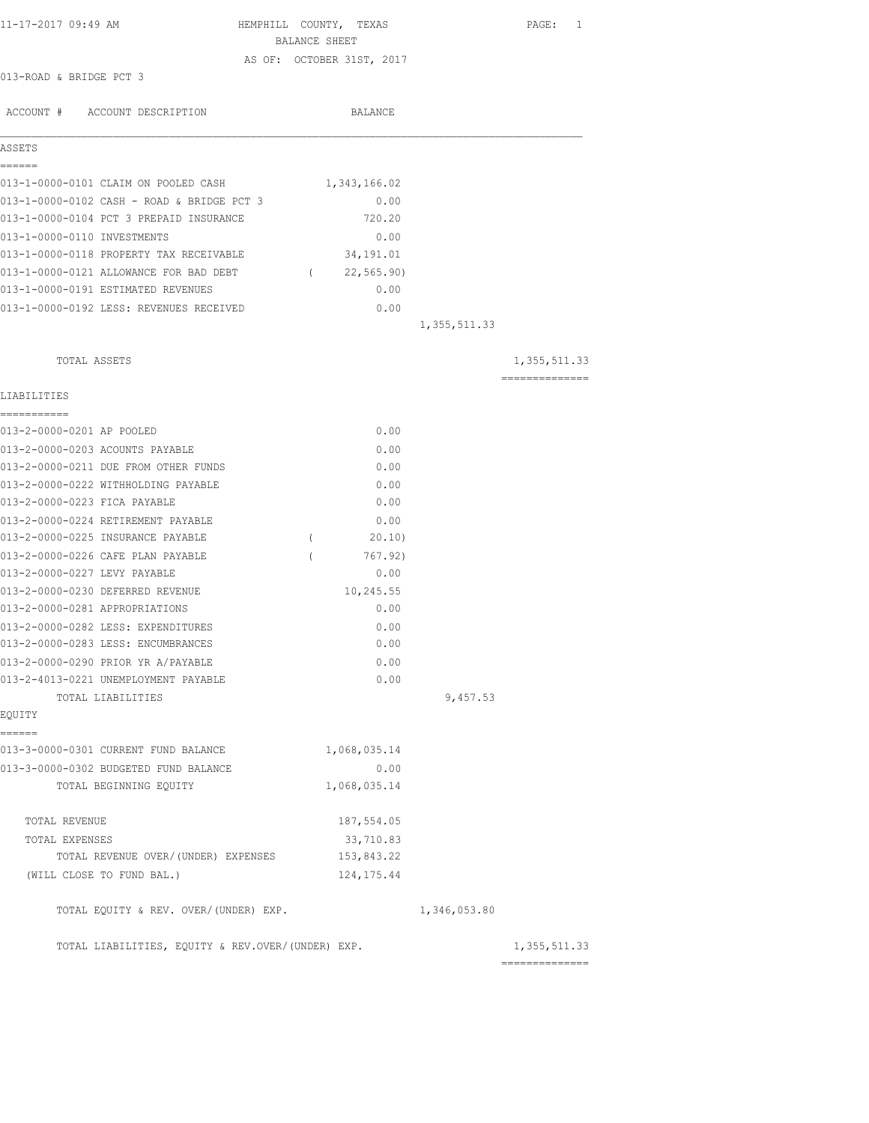| 11-17-2017 09:49 AM                               | HEMPHILL COUNTY, TEXAS    |                | PAGE: 1        |
|---------------------------------------------------|---------------------------|----------------|----------------|
|                                                   | BALANCE SHEET             |                |                |
|                                                   | AS OF: OCTOBER 31ST, 2017 |                |                |
| 013-ROAD & BRIDGE PCT 3                           |                           |                |                |
| ACCOUNT # ACCOUNT DESCRIPTION                     | BALANCE                   |                |                |
|                                                   |                           |                |                |
| ASSETS                                            |                           |                |                |
| ======                                            |                           |                |                |
| 013-1-0000-0101 CLAIM ON POOLED CASH              | 1,343,166.02              |                |                |
| 013-1-0000-0102 CASH - ROAD & BRIDGE PCT 3        | 0.00                      |                |                |
| 013-1-0000-0104 PCT 3 PREPAID INSURANCE           | 720.20                    |                |                |
| 013-1-0000-0110 INVESTMENTS                       | 0.00                      |                |                |
| 013-1-0000-0118 PROPERTY TAX RECEIVABLE           | 34, 191.01                |                |                |
| 013-1-0000-0121 ALLOWANCE FOR BAD DEBT            | (22, 565.90)              |                |                |
| 013-1-0000-0191 ESTIMATED REVENUES                | 0.00                      |                |                |
| 013-1-0000-0192 LESS: REVENUES RECEIVED           | 0.00                      |                |                |
|                                                   |                           | 1, 355, 511.33 |                |
| TOTAL ASSETS                                      |                           |                | 1, 355, 511.33 |
|                                                   |                           |                | -------------- |
| LIABILITIES                                       |                           |                |                |
|                                                   |                           |                |                |
| 013-2-0000-0201 AP POOLED                         | 0.00                      |                |                |
| 013-2-0000-0203 ACOUNTS PAYABLE                   | 0.00                      |                |                |
| 013-2-0000-0211 DUE FROM OTHER FUNDS              | 0.00                      |                |                |
| 013-2-0000-0222 WITHHOLDING PAYABLE               | 0.00                      |                |                |
| 013-2-0000-0223 FICA PAYABLE                      | 0.00                      |                |                |
| 013-2-0000-0224 RETIREMENT PAYABLE                | 0.00                      |                |                |
| 013-2-0000-0225 INSURANCE PAYABLE                 | 20.10)<br>$\left($        |                |                |
| 013-2-0000-0226 CAFE PLAN PAYABLE                 | 767.92)                   |                |                |
| 013-2-0000-0227 LEVY PAYABLE                      | 0.00                      |                |                |
| 013-2-0000-0230 DEFERRED REVENUE                  | 10,245.55                 |                |                |
| 013-2-0000-0281 APPROPRIATIONS                    | 0.00                      |                |                |
| 013-2-0000-0282 LESS: EXPENDITURES                | 0.00                      |                |                |
| 013-2-0000-0283 LESS: ENCUMBRANCES                | 0.00                      |                |                |
| 013-2-0000-0290 PRIOR YR A/PAYABLE                | 0.00                      |                |                |
| 013-2-4013-0221 UNEMPLOYMENT PAYABLE              | 0.00                      |                |                |
| TOTAL LIABILITIES                                 |                           | 9,457.53       |                |
| EQUITY                                            |                           |                |                |
| ------<br>013-3-0000-0301 CURRENT FUND BALANCE    | 1,068,035.14              |                |                |
| 013-3-0000-0302 BUDGETED FUND BALANCE             | 0.00                      |                |                |
| TOTAL BEGINNING EQUITY                            | 1,068,035.14              |                |                |
|                                                   |                           |                |                |
| TOTAL REVENUE                                     | 187,554.05                |                |                |
| TOTAL EXPENSES                                    | 33,710.83                 |                |                |
| TOTAL REVENUE OVER/(UNDER) EXPENSES               | 153,843.22                |                |                |
| (WILL CLOSE TO FUND BAL.)                         | 124, 175.44               |                |                |
| TOTAL EQUITY & REV. OVER/(UNDER) EXP.             |                           | 1,346,053.80   |                |
|                                                   |                           |                |                |
| TOTAL LIABILITIES, EQUITY & REV.OVER/(UNDER) EXP. |                           |                | 1, 355, 511.33 |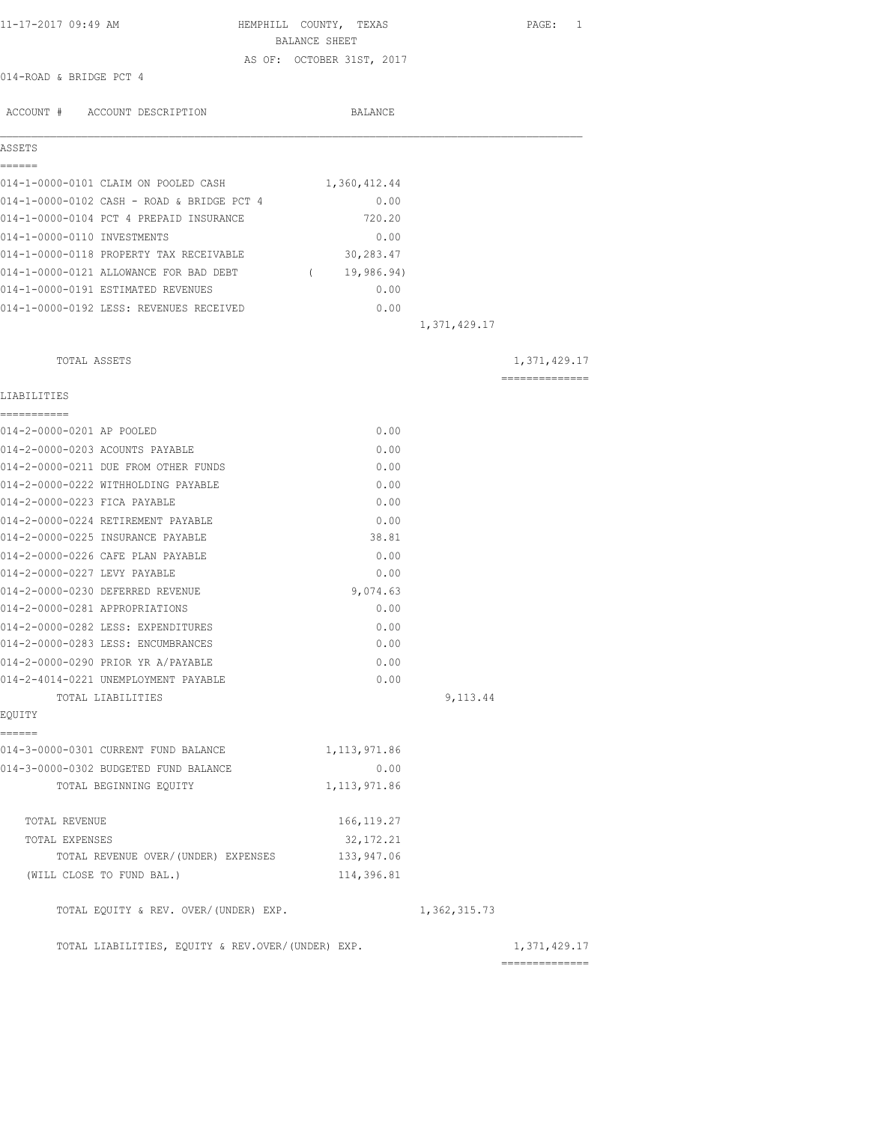| 11-17-2017 09:49 AM                               | HEMPHILL COUNTY, TEXAS    |                | PAGE: 1                        |
|---------------------------------------------------|---------------------------|----------------|--------------------------------|
|                                                   | BALANCE SHEET             |                |                                |
|                                                   | AS OF: OCTOBER 31ST, 2017 |                |                                |
| 014-ROAD & BRIDGE PCT 4                           |                           |                |                                |
| ACCOUNT # ACCOUNT DESCRIPTION                     | <b>BALANCE</b>            |                |                                |
| ASSETS                                            |                           |                |                                |
| ======<br>014-1-0000-0101 CLAIM ON POOLED CASH    | 1,360,412.44              |                |                                |
| 014-1-0000-0102 CASH - ROAD & BRIDGE PCT 4        | 0.00                      |                |                                |
| 014-1-0000-0104 PCT 4 PREPAID INSURANCE           | 720.20                    |                |                                |
| 014-1-0000-0110 INVESTMENTS                       | 0.00                      |                |                                |
| 014-1-0000-0118 PROPERTY TAX RECEIVABLE           | 30,283.47                 |                |                                |
| 014-1-0000-0121 ALLOWANCE FOR BAD DEBT            | (19, 986.94)              |                |                                |
| 014-1-0000-0191 ESTIMATED REVENUES                | 0.00                      |                |                                |
| 014-1-0000-0192 LESS: REVENUES RECEIVED           | 0.00                      |                |                                |
|                                                   |                           | 1,371,429.17   |                                |
| TOTAL ASSETS                                      |                           |                | 1,371,429.17                   |
| LIABILITIES                                       |                           |                | --------------                 |
| ===========<br>014-2-0000-0201 AP POOLED          | 0.00                      |                |                                |
| 014-2-0000-0203 ACOUNTS PAYABLE                   | 0.00                      |                |                                |
| 014-2-0000-0211 DUE FROM OTHER FUNDS              | 0.00                      |                |                                |
| 014-2-0000-0222 WITHHOLDING PAYABLE               | 0.00                      |                |                                |
| 014-2-0000-0223 FICA PAYABLE                      | 0.00                      |                |                                |
| 014-2-0000-0224 RETIREMENT PAYABLE                | 0.00                      |                |                                |
| 014-2-0000-0225 INSURANCE PAYABLE                 | 38.81                     |                |                                |
| 014-2-0000-0226 CAFE PLAN PAYABLE                 | 0.00                      |                |                                |
| 014-2-0000-0227 LEVY PAYABLE                      | 0.00                      |                |                                |
| 014-2-0000-0230 DEFERRED REVENUE                  | 9,074.63                  |                |                                |
| 014-2-0000-0281 APPROPRIATIONS                    | 0.00                      |                |                                |
| 014-2-0000-0282 LESS: EXPENDITURES                | 0.00                      |                |                                |
| 014-2-0000-0283 LESS: ENCUMBRANCES                | 0.00                      |                |                                |
| 014-2-0000-0290 PRIOR YR A/PAYABLE                | 0.00                      |                |                                |
| 014-2-4014-0221 UNEMPLOYMENT PAYABLE              | 0.00                      |                |                                |
| TOTAL LIABILITIES                                 |                           | 9,113.44       |                                |
| EQUITY<br>======                                  |                           |                |                                |
| 014-3-0000-0301 CURRENT FUND BALANCE              | 1, 113, 971.86            |                |                                |
| 014-3-0000-0302 BUDGETED FUND BALANCE             | 0.00                      |                |                                |
| TOTAL BEGINNING EQUITY                            | 1, 113, 971.86            |                |                                |
| TOTAL REVENUE                                     | 166, 119.27               |                |                                |
| TOTAL EXPENSES                                    | 32, 172. 21               |                |                                |
| TOTAL REVENUE OVER/(UNDER) EXPENSES               | 133,947.06                |                |                                |
| (WILL CLOSE TO FUND BAL.)                         | 114,396.81                |                |                                |
| TOTAL EQUITY & REV. OVER/(UNDER) EXP.             |                           | 1, 362, 315.73 |                                |
| TOTAL LIABILITIES, EQUITY & REV.OVER/(UNDER) EXP. |                           |                | 1,371,429.17<br>============== |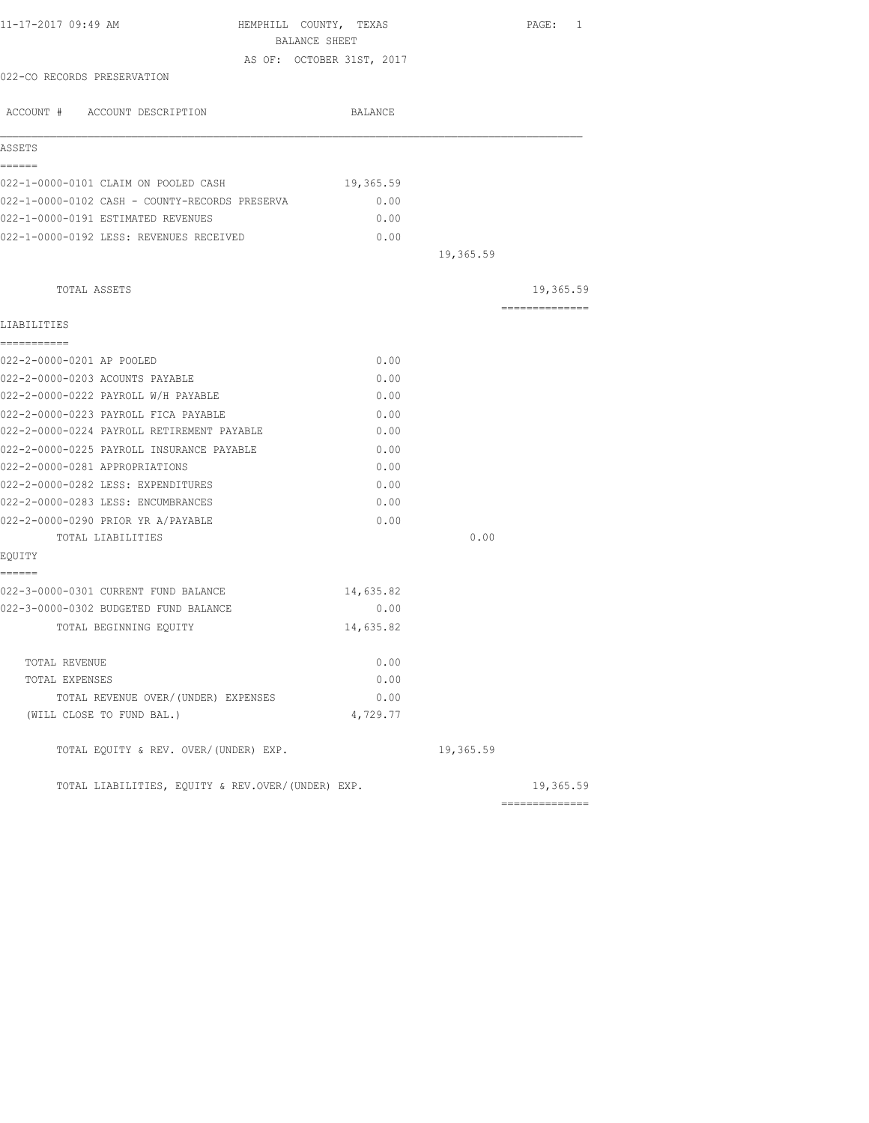| 11-17-2017 09:49 AM<br>HEMPHILL COUNTY, TEXAS                                        |                           |           | PAGE: 1        |
|--------------------------------------------------------------------------------------|---------------------------|-----------|----------------|
| BALANCE SHEET                                                                        |                           |           |                |
|                                                                                      | AS OF: OCTOBER 31ST, 2017 |           |                |
| 022-CO RECORDS PRESERVATION                                                          |                           |           |                |
| ACCOUNT # ACCOUNT DESCRIPTION                                                        | BALANCE                   |           |                |
| ASSETS                                                                               |                           |           |                |
| ======                                                                               |                           |           |                |
| 022-1-0000-0101 CLAIM ON POOLED CASH                                                 | 19,365.59                 |           |                |
| 022-1-0000-0102 CASH - COUNTY-RECORDS PRESERVA<br>022-1-0000-0191 ESTIMATED REVENUES | 0.00                      |           |                |
| 022-1-0000-0192 LESS: REVENUES RECEIVED                                              | 0.00<br>0.00              |           |                |
|                                                                                      |                           | 19,365.59 |                |
|                                                                                      |                           |           |                |
| TOTAL ASSETS                                                                         |                           |           | 19,365.59      |
| LIABILITIES                                                                          |                           |           | ============== |
| ===========                                                                          |                           |           |                |
| 022-2-0000-0201 AP POOLED                                                            | 0.00                      |           |                |
| 022-2-0000-0203 ACOUNTS PAYABLE                                                      | 0.00                      |           |                |
| 022-2-0000-0222 PAYROLL W/H PAYABLE                                                  | 0.00                      |           |                |
| 022-2-0000-0223 PAYROLL FICA PAYABLE                                                 | 0.00                      |           |                |
| 022-2-0000-0224 PAYROLL RETIREMENT PAYABLE                                           | 0.00                      |           |                |
| 022-2-0000-0225 PAYROLL INSURANCE PAYABLE                                            | 0.00                      |           |                |
| 022-2-0000-0281 APPROPRIATIONS                                                       | 0.00                      |           |                |
| 022-2-0000-0282 LESS: EXPENDITURES                                                   | 0.00                      |           |                |
| 022-2-0000-0283 LESS: ENCUMBRANCES                                                   | 0.00                      |           |                |
| 022-2-0000-0290 PRIOR YR A/PAYABLE                                                   | 0.00                      |           |                |
| TOTAL LIABILITIES<br>EQUITY                                                          |                           | 0.00      |                |
| ======                                                                               |                           |           |                |
| 022-3-0000-0301 CURRENT FUND BALANCE                                                 | 14,635.82                 |           |                |
| 022-3-0000-0302 BUDGETED FUND BALANCE                                                | 0.00                      |           |                |
| TOTAL BEGINNING EQUITY                                                               | 14,635.82                 |           |                |
| TOTAL REVENUE                                                                        | 0.00                      |           |                |
| TOTAL EXPENSES                                                                       | 0.00                      |           |                |
| TOTAL REVENUE OVER/(UNDER) EXPENSES                                                  | 0.00                      |           |                |
| (WILL CLOSE TO FUND BAL.)                                                            | 4,729.77                  |           |                |
| TOTAL EQUITY & REV. OVER/(UNDER) EXP.                                                |                           | 19,365.59 |                |
| TOTAL LIABILITIES, EQUITY & REV.OVER/(UNDER) EXP.                                    |                           |           | 19,365.59      |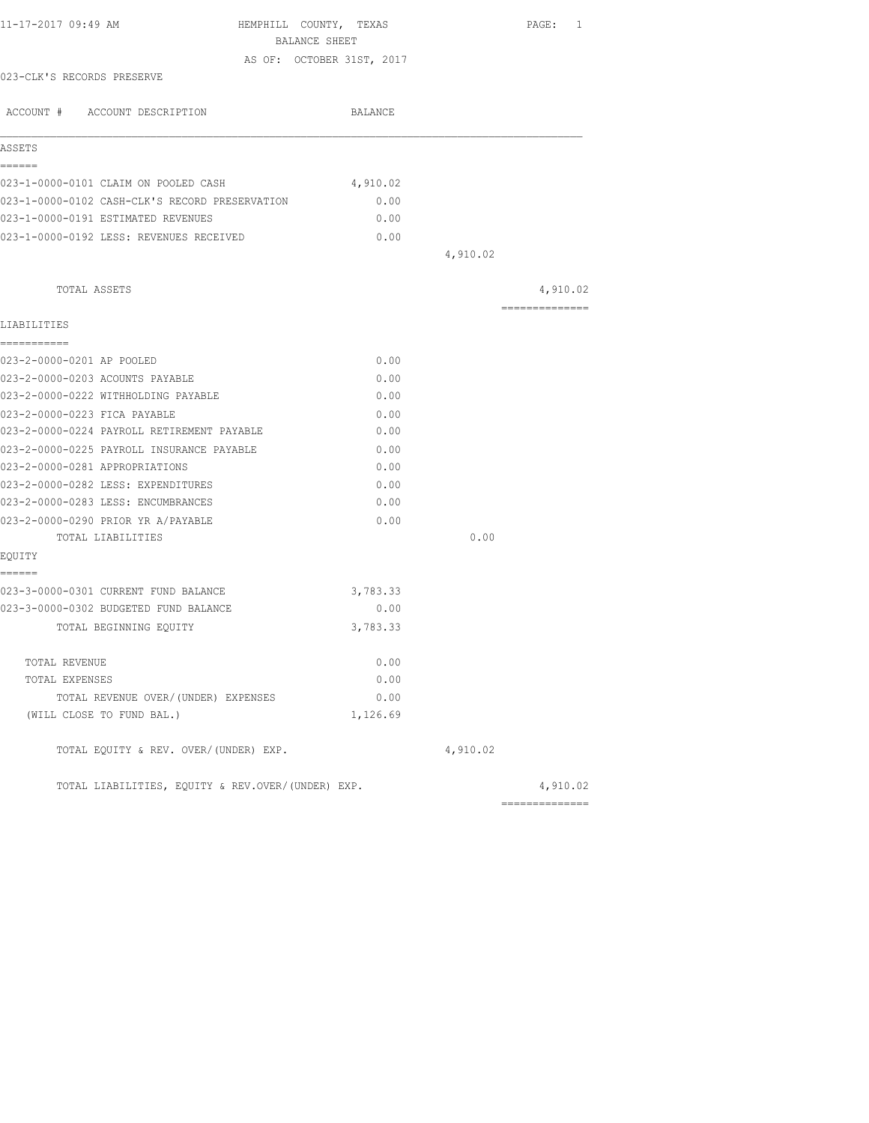| 11-17-2017 09:49 AM                                     | HEMPHILL COUNTY, TEXAS                     | PAGE: 1        |
|---------------------------------------------------------|--------------------------------------------|----------------|
|                                                         | BALANCE SHEET<br>AS OF: OCTOBER 31ST, 2017 |                |
| 023-CLK'S RECORDS PRESERVE                              |                                            |                |
|                                                         |                                            |                |
| ACCOUNT # ACCOUNT DESCRIPTION                           | BALANCE                                    |                |
| ASSETS                                                  |                                            |                |
| ------                                                  |                                            |                |
| 023-1-0000-0101 CLAIM ON POOLED CASH                    | 4,910.02                                   |                |
| 023-1-0000-0102 CASH-CLK'S RECORD PRESERVATION          | 0.00                                       |                |
| 023-1-0000-0191 ESTIMATED REVENUES                      | 0.00                                       |                |
| 023-1-0000-0192 LESS: REVENUES RECEIVED                 | 0.00                                       |                |
|                                                         | 4,910.02                                   |                |
| TOTAL ASSETS                                            |                                            | 4,910.02       |
| LIABILITIES                                             |                                            | ============== |
| ------------                                            |                                            |                |
| 023-2-0000-0201 AP POOLED                               | 0.00                                       |                |
| 023-2-0000-0203 ACOUNTS PAYABLE                         | 0.00                                       |                |
| 023-2-0000-0222 WITHHOLDING PAYABLE                     | 0.00                                       |                |
| 023-2-0000-0223 FICA PAYABLE                            | 0.00                                       |                |
| 023-2-0000-0224 PAYROLL RETIREMENT PAYABLE              | 0.00                                       |                |
| 023-2-0000-0225 PAYROLL INSURANCE PAYABLE               | 0.00                                       |                |
| 023-2-0000-0281 APPROPRIATIONS                          | 0.00                                       |                |
| 023-2-0000-0282 LESS: EXPENDITURES                      | 0.00                                       |                |
| 023-2-0000-0283 LESS: ENCUMBRANCES                      | 0.00                                       |                |
| 023-2-0000-0290 PRIOR YR A/PAYABLE<br>TOTAL LIABILITIES | 0.00                                       | 0.00           |
| EQUITY                                                  |                                            |                |
| ======                                                  |                                            |                |
| 023-3-0000-0301 CURRENT FUND BALANCE                    | 3,783.33                                   |                |
| 023-3-0000-0302 BUDGETED FUND BALANCE                   | 0.00                                       |                |
| TOTAL BEGINNING EQUITY                                  | 3,783.33                                   |                |
| TOTAL REVENUE                                           | 0.00                                       |                |
| TOTAL EXPENSES                                          | 0.00                                       |                |
| TOTAL REVENUE OVER/(UNDER) EXPENSES                     | 0.00                                       |                |
| (WILL CLOSE TO FUND BAL.)                               | 1,126.69                                   |                |
| TOTAL EQUITY & REV. OVER/(UNDER) EXP.                   | 4,910.02                                   |                |
| TOTAL LIABILITIES, EQUITY & REV.OVER/(UNDER) EXP.       |                                            | 4,910.02       |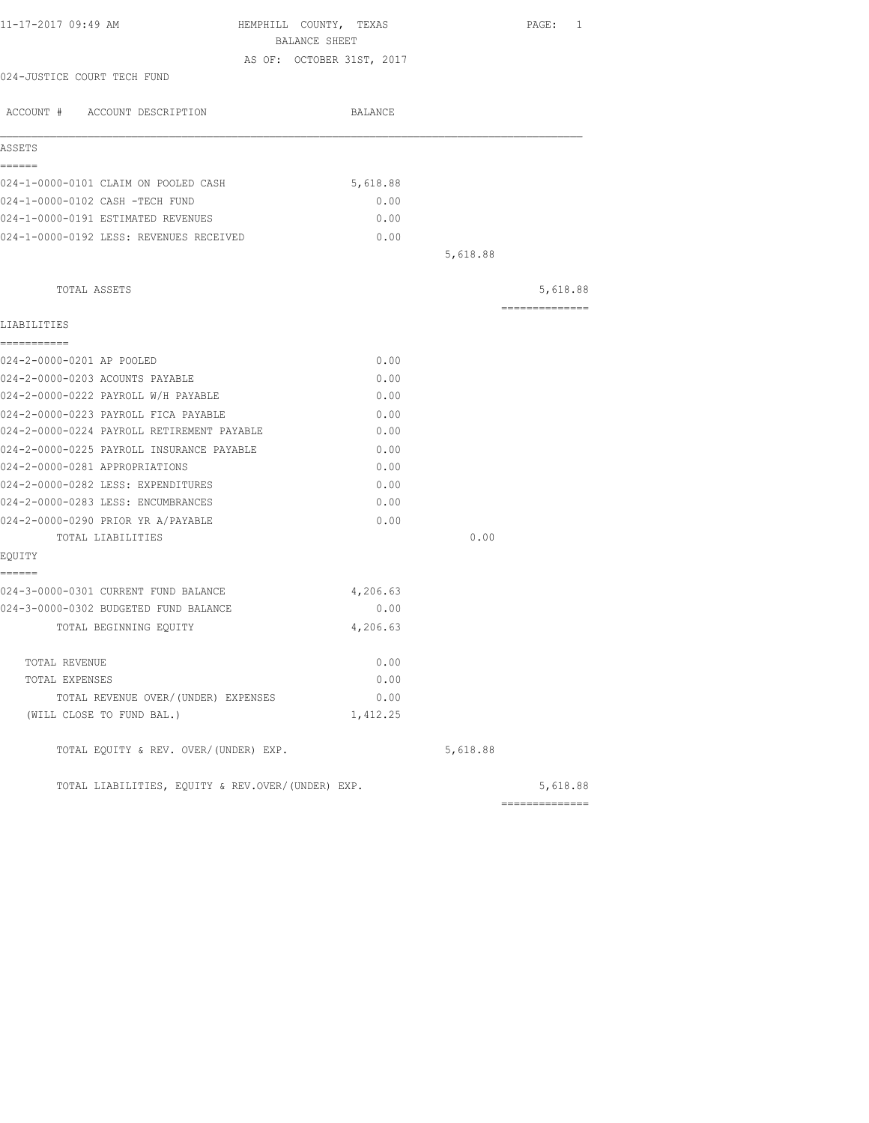| HEMPHILL COUNTY, TEXAS                            |                                  | PAGE: 1        |
|---------------------------------------------------|----------------------------------|----------------|
| BALANCE SHEET                                     |                                  |                |
| AS OF: OCTOBER 31ST, 2017                         |                                  |                |
|                                                   |                                  |                |
| BALANCE                                           |                                  |                |
|                                                   |                                  |                |
|                                                   |                                  |                |
| 5,618.88                                          |                                  |                |
| 0.00                                              |                                  |                |
| 0.00                                              |                                  |                |
| 0.00                                              |                                  |                |
|                                                   | 5,618.88                         |                |
|                                                   |                                  | 5,618.88       |
|                                                   |                                  | ============== |
|                                                   |                                  |                |
| 0.00                                              |                                  |                |
| 0.00                                              |                                  |                |
| 0.00                                              |                                  |                |
| 0.00                                              |                                  |                |
| 0.00                                              |                                  |                |
| 0.00                                              |                                  |                |
| 0.00                                              |                                  |                |
| 0.00                                              |                                  |                |
| 0.00                                              |                                  |                |
| 0.00                                              |                                  |                |
|                                                   | 0.00                             |                |
|                                                   |                                  |                |
|                                                   |                                  |                |
| 0.00                                              |                                  |                |
| 4,206.63                                          |                                  |                |
|                                                   |                                  |                |
|                                                   |                                  |                |
|                                                   |                                  |                |
| 1,412.25                                          |                                  |                |
|                                                   | 5,618.88                         |                |
| TOTAL LIABILITIES, EQUITY & REV.OVER/(UNDER) EXP. |                                  | 5,618.88       |
|                                                   | 4,206.63<br>0.00<br>0.00<br>0.00 |                |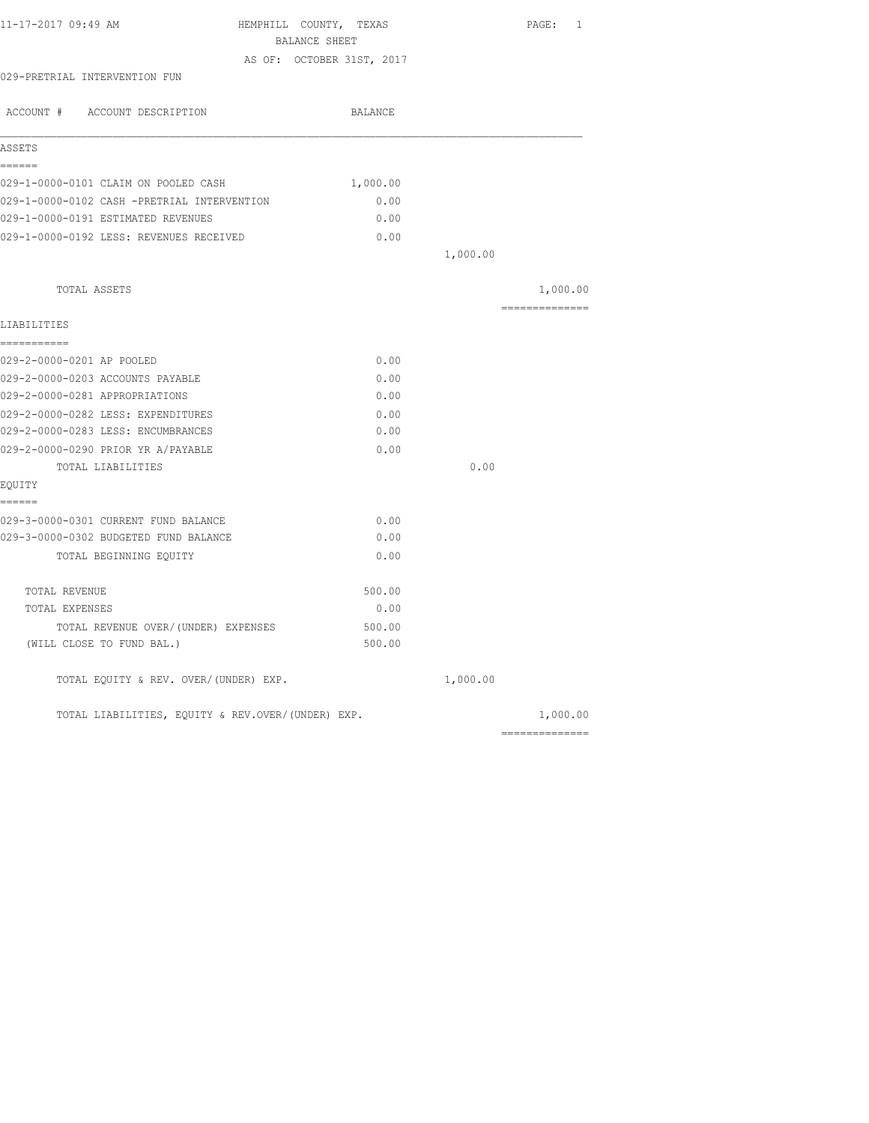| 11-17-2017 09:49 AM<br>HEMPHILL COUNTY, TEXAS     |                           |          | PAGE: 1         |
|---------------------------------------------------|---------------------------|----------|-----------------|
| BALANCE SHEET                                     | AS OF: OCTOBER 31ST, 2017 |          |                 |
| 029-PRETRIAL INTERVENTION FUN                     |                           |          |                 |
| ACCOUNT # ACCOUNT DESCRIPTION                     | BALANCE                   |          |                 |
|                                                   |                           |          |                 |
| ASSETS                                            |                           |          |                 |
| ======                                            |                           |          |                 |
| 029-1-0000-0101 CLAIM ON POOLED CASH              | 1,000.00                  |          |                 |
| 029-1-0000-0102 CASH -PRETRIAL INTERVENTION       | 0.00                      |          |                 |
| 029-1-0000-0191 ESTIMATED REVENUES                | 0.00                      |          |                 |
| 029-1-0000-0192 LESS: REVENUES RECEIVED           | 0.00                      |          |                 |
|                                                   |                           | 1,000.00 |                 |
| TOTAL ASSETS                                      |                           |          | 1,000.00        |
| LIABILITIES                                       |                           |          | --------------- |
| ===========                                       |                           |          |                 |
| 029-2-0000-0201 AP POOLED                         | 0.00                      |          |                 |
| 029-2-0000-0203 ACCOUNTS PAYABLE                  | 0.00                      |          |                 |
| 029-2-0000-0281 APPROPRIATIONS                    | 0.00                      |          |                 |
| 029-2-0000-0282 LESS: EXPENDITURES                | 0.00                      |          |                 |
| 029-2-0000-0283 LESS: ENCUMBRANCES                | 0.00                      |          |                 |
| 029-2-0000-0290 PRIOR YR A/PAYABLE                | 0.00                      |          |                 |
| TOTAL LIABILITIES                                 |                           | 0.00     |                 |
| EQUITY                                            |                           |          |                 |
| ------                                            |                           |          |                 |
| 029-3-0000-0301 CURRENT FUND BALANCE              | 0.00                      |          |                 |
| 029-3-0000-0302 BUDGETED FUND BALANCE             | 0.00                      |          |                 |
| TOTAL BEGINNING EQUITY                            | 0.00                      |          |                 |
| TOTAL REVENUE                                     | 500.00                    |          |                 |
| TOTAL EXPENSES                                    | 0.00                      |          |                 |
| TOTAL REVENUE OVER/(UNDER) EXPENSES               | 500.00                    |          |                 |
| (WILL CLOSE TO FUND BAL.)                         | 500.00                    |          |                 |
| TOTAL EQUITY & REV. OVER/(UNDER) EXP.             |                           | 1,000.00 |                 |
| TOTAL LIABILITIES, EQUITY & REV.OVER/(UNDER) EXP. |                           |          | 1,000.00        |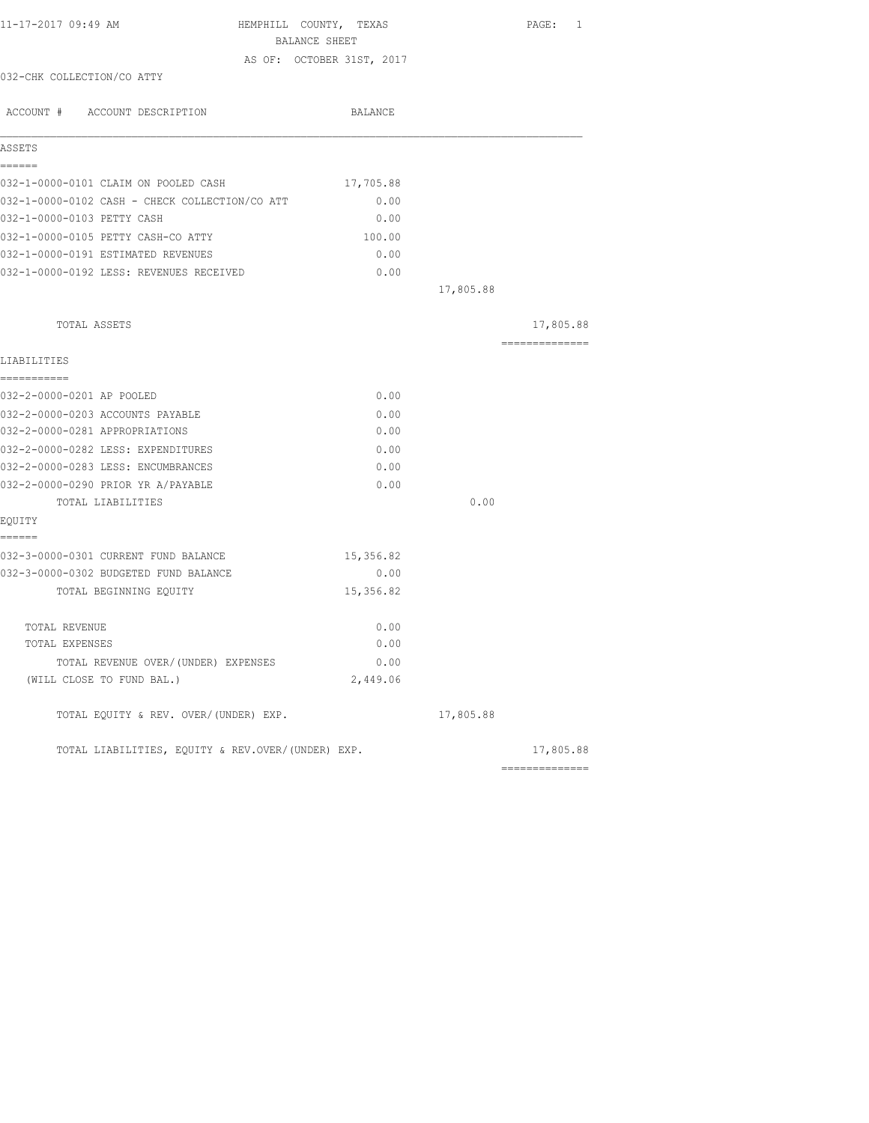| 11-17-2017 09:49 AM                                                      | HEMPHILL COUNTY, TEXAS<br>BALANCE SHEET |           | PAGE: 1        |
|--------------------------------------------------------------------------|-----------------------------------------|-----------|----------------|
|                                                                          |                                         |           |                |
| 032-CHK COLLECTION/CO ATTY                                               | AS OF: OCTOBER 31ST, 2017               |           |                |
| ACCOUNT # ACCOUNT DESCRIPTION                                            | BALANCE                                 |           |                |
| ASSETS                                                                   |                                         |           |                |
| ======                                                                   |                                         |           |                |
| 032-1-0000-0101 CLAIM ON POOLED CASH                                     | 17,705.88                               |           |                |
| 032-1-0000-0102 CASH - CHECK COLLECTION/CO ATT                           | 0.00                                    |           |                |
| 032-1-0000-0103 PETTY CASH                                               | 0.00                                    |           |                |
| 032-1-0000-0105 PETTY CASH-CO ATTY<br>032-1-0000-0191 ESTIMATED REVENUES | 100.00<br>0.00                          |           |                |
|                                                                          |                                         |           |                |
| 032-1-0000-0192 LESS: REVENUES RECEIVED                                  | 0.00                                    | 17,805.88 |                |
|                                                                          |                                         |           |                |
| TOTAL ASSETS                                                             |                                         |           | 17,805.88      |
| LIABILITIES                                                              |                                         |           | ============== |
| -----------                                                              |                                         |           |                |
| 032-2-0000-0201 AP POOLED                                                | 0.00                                    |           |                |
| 032-2-0000-0203 ACCOUNTS PAYABLE                                         | 0.00                                    |           |                |
| 032-2-0000-0281 APPROPRIATIONS                                           | 0.00                                    |           |                |
| 032-2-0000-0282 LESS: EXPENDITURES                                       | 0.00                                    |           |                |
| 032-2-0000-0283 LESS: ENCUMBRANCES                                       | 0.00                                    |           |                |
| 032-2-0000-0290 PRIOR YR A/PAYABLE                                       | 0.00                                    |           |                |
| TOTAL LIABILITIES                                                        |                                         | 0.00      |                |
| EQUITY                                                                   |                                         |           |                |
| ======                                                                   |                                         |           |                |
| 032-3-0000-0301 CURRENT FUND BALANCE                                     | 15,356.82                               |           |                |
| 032-3-0000-0302 BUDGETED FUND BALANCE                                    | 0.00                                    |           |                |
| TOTAL BEGINNING EQUITY                                                   | 15,356.82                               |           |                |
| TOTAL REVENUE                                                            | 0.00                                    |           |                |
| TOTAL EXPENSES                                                           | 0.00                                    |           |                |
| TOTAL REVENUE OVER/(UNDER) EXPENSES                                      | 0.00                                    |           |                |
| (WILL CLOSE TO FUND BAL.)                                                | 2,449.06                                |           |                |
| TOTAL EQUITY & REV. OVER/(UNDER) EXP.                                    |                                         | 17,805.88 |                |
| TOTAL LIABILITIES, EOUITY & REV.OVER/(UNDER) EXP.                        |                                         |           | 17,805.88      |
|                                                                          |                                         |           | ============== |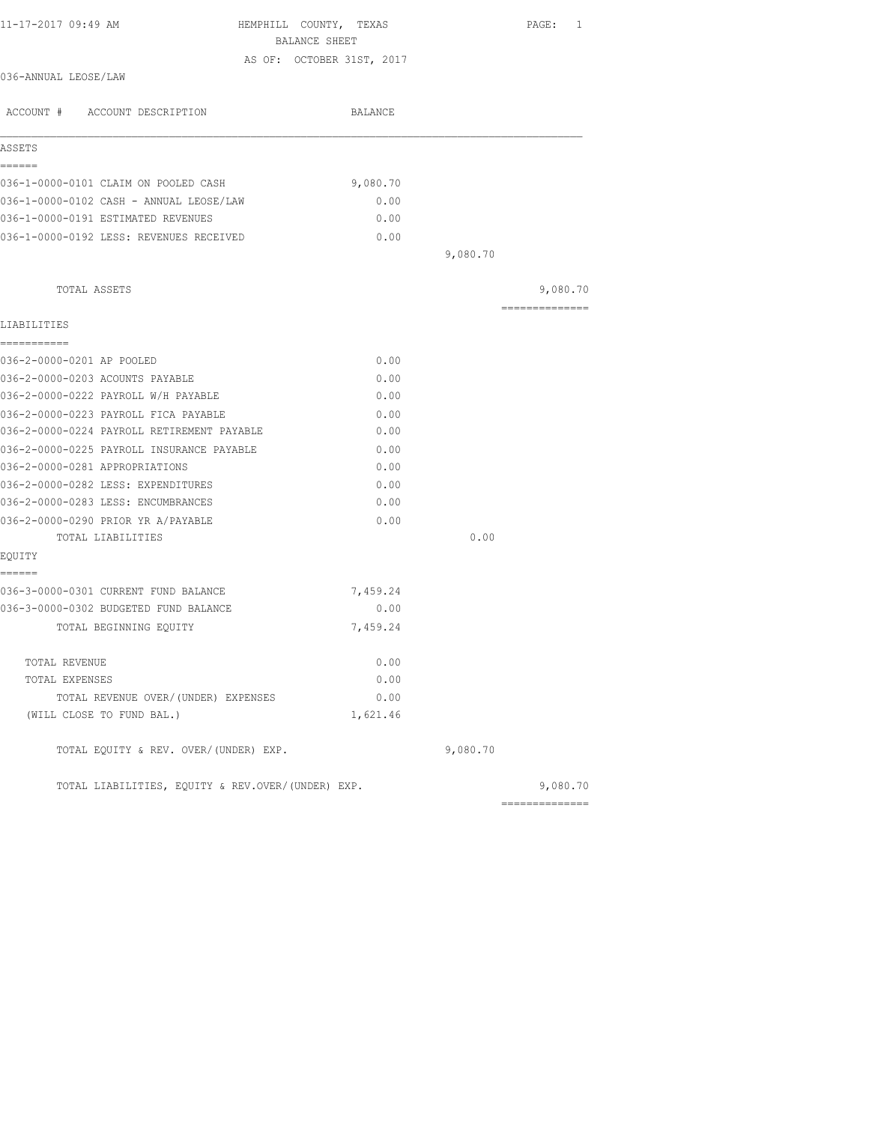| 11-17-2017 09:49 AM                               | HEMPHILL COUNTY, TEXAS<br>BALANCE SHEET |          | PAGE: 1        |
|---------------------------------------------------|-----------------------------------------|----------|----------------|
|                                                   | AS OF: OCTOBER 31ST, 2017               |          |                |
| 036-ANNUAL LEOSE/LAW                              |                                         |          |                |
| ACCOUNT # ACCOUNT DESCRIPTION                     | BALANCE                                 |          |                |
| ASSETS                                            |                                         |          |                |
| ======                                            |                                         |          |                |
| 036-1-0000-0101 CLAIM ON POOLED CASH              | 9,080.70                                |          |                |
| 036-1-0000-0102 CASH - ANNUAL LEOSE/LAW           | 0.00                                    |          |                |
| 036-1-0000-0191 ESTIMATED REVENUES                | 0.00                                    |          |                |
| 036-1-0000-0192 LESS: REVENUES RECEIVED           | 0.00                                    |          |                |
|                                                   |                                         | 9,080.70 |                |
| TOTAL ASSETS                                      |                                         |          | 9,080.70       |
| LIABILITIES                                       |                                         |          | -------------- |
| -----------                                       |                                         |          |                |
| 036-2-0000-0201 AP POOLED                         | 0.00                                    |          |                |
| 036-2-0000-0203 ACOUNTS PAYABLE                   | 0.00                                    |          |                |
| 036-2-0000-0222 PAYROLL W/H PAYABLE               | 0.00                                    |          |                |
| 036-2-0000-0223 PAYROLL FICA PAYABLE              | 0.00                                    |          |                |
| 036-2-0000-0224 PAYROLL RETIREMENT PAYABLE        | 0.00                                    |          |                |
| 036-2-0000-0225 PAYROLL INSURANCE PAYABLE         | 0.00                                    |          |                |
| 036-2-0000-0281 APPROPRIATIONS                    | 0.00                                    |          |                |
| 036-2-0000-0282 LESS: EXPENDITURES                | 0.00                                    |          |                |
| 036-2-0000-0283 LESS: ENCUMBRANCES                | 0.00                                    |          |                |
| 036-2-0000-0290 PRIOR YR A/PAYABLE                | 0.00                                    |          |                |
| TOTAL LIABILITIES                                 |                                         | 0.00     |                |
| EOUITY<br>------                                  |                                         |          |                |
| 036-3-0000-0301 CURRENT FUND BALANCE              | 7,459.24                                |          |                |
| 036-3-0000-0302 BUDGETED FUND BALANCE             | 0.00                                    |          |                |
| TOTAL BEGINNING EQUITY                            | 7,459.24                                |          |                |
| TOTAL REVENUE                                     | 0.00                                    |          |                |
| TOTAL EXPENSES                                    | 0.00                                    |          |                |
| TOTAL REVENUE OVER/(UNDER) EXPENSES               | 0.00                                    |          |                |
| (WILL CLOSE TO FUND BAL.)                         | 1,621.46                                |          |                |
| TOTAL EQUITY & REV. OVER/(UNDER) EXP.             |                                         | 9,080.70 |                |
| TOTAL LIABILITIES, EQUITY & REV.OVER/(UNDER) EXP. |                                         |          | 9,080.70       |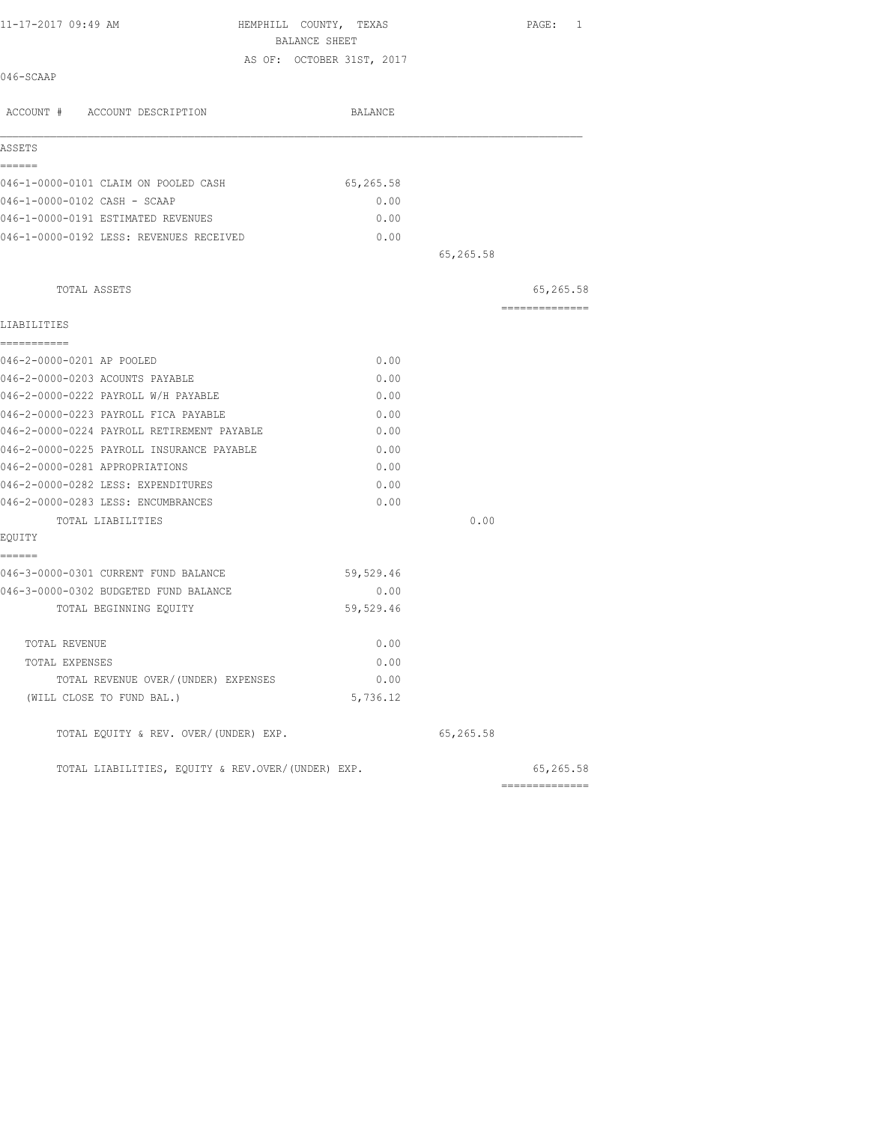| 11-17-2017 09:49 AM                               | HEMPHILL COUNTY, TEXAS<br>BALANCE SHEET |           | PAGE: 1         |
|---------------------------------------------------|-----------------------------------------|-----------|-----------------|
|                                                   | AS OF: OCTOBER 31ST, 2017               |           |                 |
| 046-SCAAP                                         |                                         |           |                 |
| ACCOUNT # ACCOUNT DESCRIPTION                     | BALANCE                                 |           |                 |
| ASSETS                                            |                                         |           |                 |
| ======                                            |                                         |           |                 |
| 046-1-0000-0101 CLAIM ON POOLED CASH              | 65,265.58                               |           |                 |
| 046-1-0000-0102 CASH - SCAAP                      | 0.00                                    |           |                 |
| 046-1-0000-0191 ESTIMATED REVENUES                | 0.00                                    |           |                 |
| 046-1-0000-0192 LESS: REVENUES RECEIVED           | 0.00                                    |           |                 |
|                                                   |                                         | 65,265.58 |                 |
| TOTAL ASSETS                                      |                                         |           | 65,265.58       |
| LIABILITIES                                       |                                         |           | --------------- |
| -----------<br>046-2-0000-0201 AP POOLED          | 0.00                                    |           |                 |
| 046-2-0000-0203 ACOUNTS PAYABLE                   | 0.00                                    |           |                 |
| 046-2-0000-0222 PAYROLL W/H PAYABLE               | 0.00                                    |           |                 |
| 046-2-0000-0223 PAYROLL FICA PAYABLE              | 0.00                                    |           |                 |
| 046-2-0000-0224 PAYROLL RETIREMENT PAYABLE        | 0.00                                    |           |                 |
| 046-2-0000-0225 PAYROLL INSURANCE PAYABLE         | 0.00                                    |           |                 |
| 046-2-0000-0281 APPROPRIATIONS                    | 0.00                                    |           |                 |
| 046-2-0000-0282 LESS: EXPENDITURES                | 0.00                                    |           |                 |
| 046-2-0000-0283 LESS: ENCUMBRANCES                | 0.00                                    |           |                 |
| TOTAL LIABILITIES                                 |                                         | 0.00      |                 |
| EQUITY                                            |                                         |           |                 |
| ======                                            |                                         |           |                 |
| 046-3-0000-0301 CURRENT FUND BALANCE              | 59,529.46                               |           |                 |
| 046-3-0000-0302 BUDGETED FUND BALANCE             | 0.00                                    |           |                 |
| TOTAL BEGINNING EQUITY                            | 59,529.46                               |           |                 |
| TOTAL REVENUE                                     | 0.00                                    |           |                 |
| TOTAL EXPENSES                                    | 0.00                                    |           |                 |
| TOTAL REVENUE OVER/(UNDER) EXPENSES               | 0.00                                    |           |                 |
| (WILL CLOSE TO FUND BAL.)                         | 5,736.12                                |           |                 |
| TOTAL EQUITY & REV. OVER/(UNDER) EXP.             |                                         | 65,265.58 |                 |
| TOTAL LIABILITIES, EQUITY & REV.OVER/(UNDER) EXP. |                                         |           | 65,265.58       |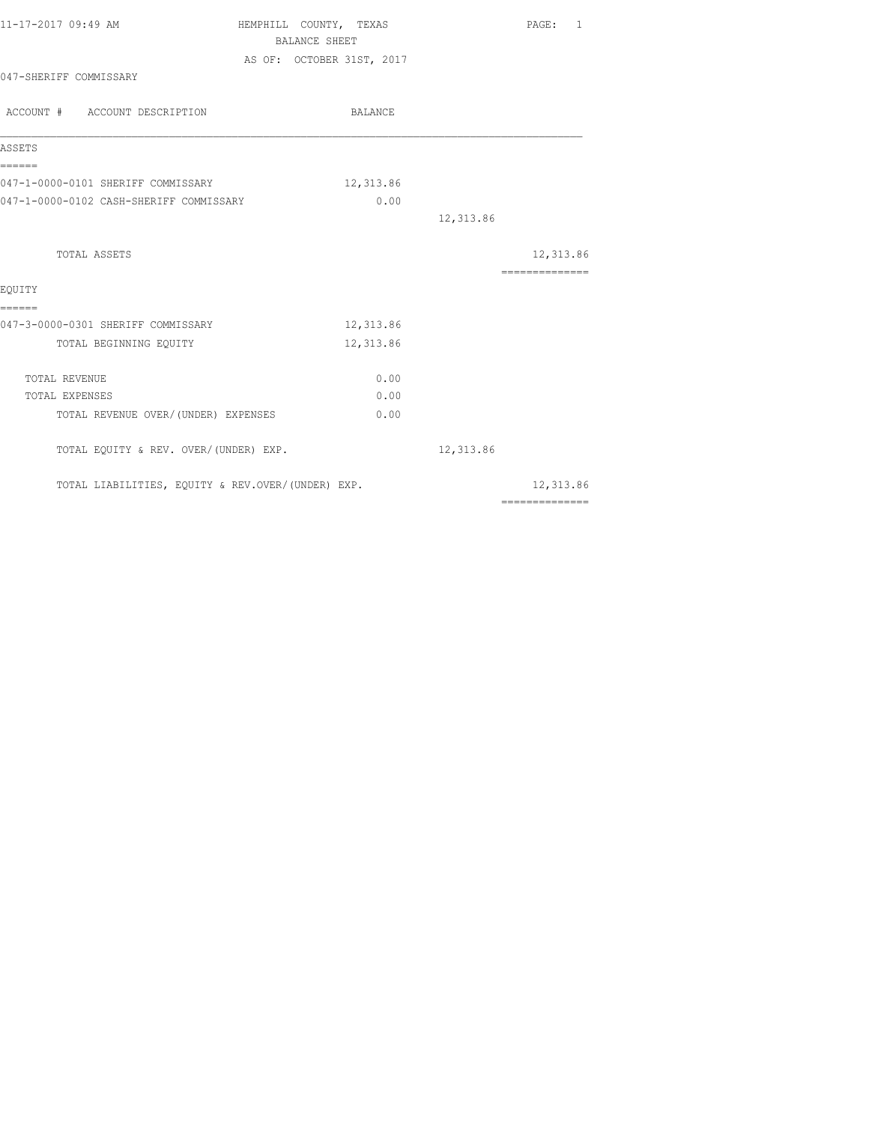| 11-17-2017 09:49 AM                               | HEMPHILL COUNTY, TEXAS    | PAGE: 1                                                                                                                                                                                                                                                                                                                                                                                                                                                                                |
|---------------------------------------------------|---------------------------|----------------------------------------------------------------------------------------------------------------------------------------------------------------------------------------------------------------------------------------------------------------------------------------------------------------------------------------------------------------------------------------------------------------------------------------------------------------------------------------|
|                                                   | <b>BALANCE SHEET</b>      |                                                                                                                                                                                                                                                                                                                                                                                                                                                                                        |
|                                                   | AS OF: OCTOBER 31ST, 2017 |                                                                                                                                                                                                                                                                                                                                                                                                                                                                                        |
| 047-SHERIFF COMMISSARY                            |                           |                                                                                                                                                                                                                                                                                                                                                                                                                                                                                        |
| ACCOUNT # ACCOUNT DESCRIPTION                     | BALANCE                   |                                                                                                                                                                                                                                                                                                                                                                                                                                                                                        |
| ASSETS                                            |                           |                                                                                                                                                                                                                                                                                                                                                                                                                                                                                        |
| ------<br>047-1-0000-0101 SHERIFF COMMISSARY      | 12,313.86                 |                                                                                                                                                                                                                                                                                                                                                                                                                                                                                        |
| 047-1-0000-0102 CASH-SHERIFF COMMISSARY           | 0.00                      |                                                                                                                                                                                                                                                                                                                                                                                                                                                                                        |
|                                                   |                           | 12,313.86                                                                                                                                                                                                                                                                                                                                                                                                                                                                              |
| TOTAL ASSETS                                      |                           | 12,313.86                                                                                                                                                                                                                                                                                                                                                                                                                                                                              |
| EQUITY                                            |                           | $\begin{array}{cccccccccccccc} \multicolumn{2}{c}{} & \multicolumn{2}{c}{} & \multicolumn{2}{c}{} & \multicolumn{2}{c}{} & \multicolumn{2}{c}{} & \multicolumn{2}{c}{} & \multicolumn{2}{c}{} & \multicolumn{2}{c}{} & \multicolumn{2}{c}{} & \multicolumn{2}{c}{} & \multicolumn{2}{c}{} & \multicolumn{2}{c}{} & \multicolumn{2}{c}{} & \multicolumn{2}{c}{} & \multicolumn{2}{c}{} & \multicolumn{2}{c}{} & \multicolumn{2}{c}{} & \multicolumn{2}{c}{} & \multicolumn{2}{c}{} & \$ |
| ======<br>047-3-0000-0301 SHERIFF COMMISSARY      | 12,313.86                 |                                                                                                                                                                                                                                                                                                                                                                                                                                                                                        |
| TOTAL BEGINNING EQUITY                            | 12,313.86                 |                                                                                                                                                                                                                                                                                                                                                                                                                                                                                        |
| TOTAL REVENUE                                     | 0.00                      |                                                                                                                                                                                                                                                                                                                                                                                                                                                                                        |
| TOTAL EXPENSES                                    | 0.00                      |                                                                                                                                                                                                                                                                                                                                                                                                                                                                                        |
| TOTAL REVENUE OVER/(UNDER) EXPENSES               | 0.00                      |                                                                                                                                                                                                                                                                                                                                                                                                                                                                                        |
| TOTAL EQUITY & REV. OVER/(UNDER) EXP.             |                           | 12,313.86                                                                                                                                                                                                                                                                                                                                                                                                                                                                              |
| TOTAL LIABILITIES, EQUITY & REV.OVER/(UNDER) EXP. |                           | 12,313.86                                                                                                                                                                                                                                                                                                                                                                                                                                                                              |
|                                                   |                           | $\begin{array}{cccccccccccccc} \multicolumn{2}{c}{} & \multicolumn{2}{c}{} & \multicolumn{2}{c}{} & \multicolumn{2}{c}{} & \multicolumn{2}{c}{} & \multicolumn{2}{c}{} & \multicolumn{2}{c}{} & \multicolumn{2}{c}{} & \multicolumn{2}{c}{} & \multicolumn{2}{c}{} & \multicolumn{2}{c}{} & \multicolumn{2}{c}{} & \multicolumn{2}{c}{} & \multicolumn{2}{c}{} & \multicolumn{2}{c}{} & \multicolumn{2}{c}{} & \multicolumn{2}{c}{} & \multicolumn{2}{c}{} & \multicolumn{2}{c}{} & \$ |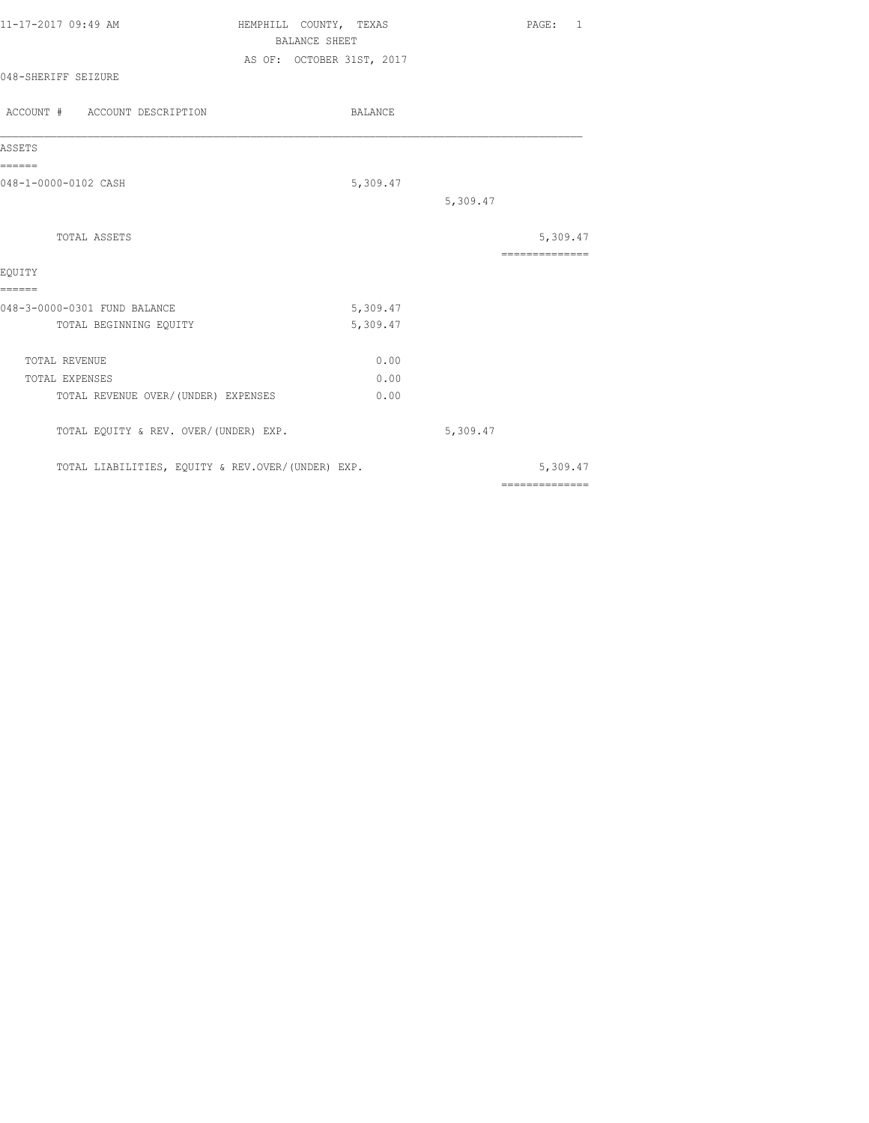| 11-17-2017 09:49 AM           |  | HEMPHILL COUNTY, TEXAS |                           |                | PAGE: |  |
|-------------------------------|--|------------------------|---------------------------|----------------|-------|--|
|                               |  |                        | BALANCE SHEET             |                |       |  |
| 048-SHERIFF SEIZURE           |  |                        | AS OF: OCTOBER 31ST, 2017 |                |       |  |
| ACCOUNT # ACCOUNT DESCRIPTION |  |                        |                           | <b>BALANCE</b> |       |  |

| ASSETS                                            |          |          |                |
|---------------------------------------------------|----------|----------|----------------|
| ======<br>048-1-0000-0102 CASH                    | 5,309.47 |          |                |
|                                                   |          | 5,309.47 |                |
| TOTAL ASSETS                                      |          |          | 5,309.47       |
|                                                   |          |          | ============   |
| EOUITY                                            |          |          |                |
| ======                                            |          |          |                |
| 048-3-0000-0301 FUND BALANCE                      | 5,309.47 |          |                |
| TOTAL BEGINNING EQUITY                            | 5,309.47 |          |                |
| <b>TOTAL REVENUE</b>                              | 0.00     |          |                |
| <b>TOTAL EXPENSES</b>                             | 0.00     |          |                |
| TOTAL REVENUE OVER/(UNDER) EXPENSES               | 0.00     |          |                |
| TOTAL EQUITY & REV. OVER/(UNDER) EXP.             |          | 5,309.47 |                |
| TOTAL LIABILITIES, EQUITY & REV.OVER/(UNDER) EXP. |          |          | 5,309.47       |
|                                                   |          |          | ============== |